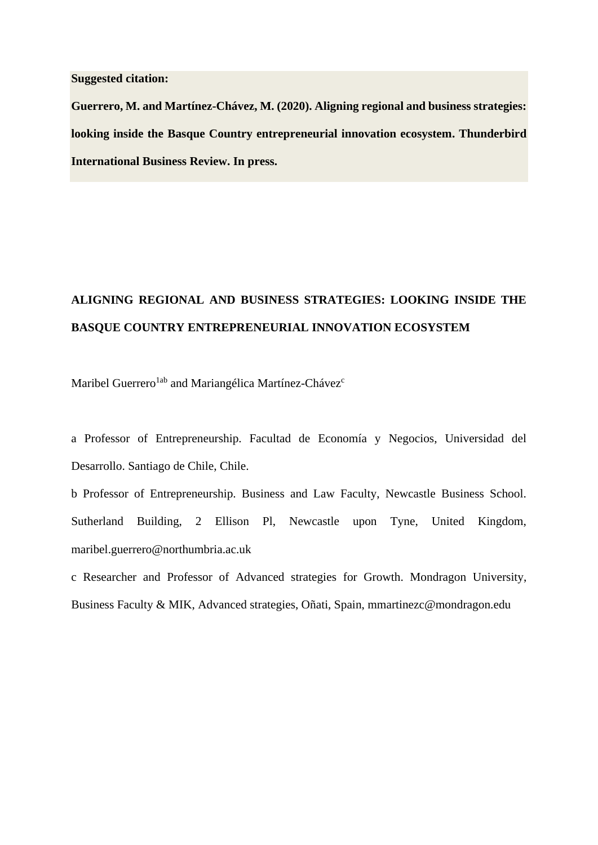# **Suggested citation:**

**Guerrero, M. and Martínez-Chávez, M. (2020). Aligning regional and business strategies: looking inside the Basque Country entrepreneurial innovation ecosystem. Thunderbird International Business Review. In press.**

# **ALIGNING REGIONAL AND BUSINESS STRATEGIES: LOOKING INSIDE THE BASQUE COUNTRY ENTREPRENEURIAL INNOVATION ECOSYSTEM**

Maribel Guerrero<sup>1ab</sup> and Mariangélica Martínez-Chávez<sup>c</sup>

a Professor of Entrepreneurship. Facultad de Economía y Negocios, Universidad del Desarrollo. Santiago de Chile, Chile.

b Professor of Entrepreneurship. Business and Law Faculty, Newcastle Business School. Sutherland Building, 2 Ellison Pl, Newcastle upon Tyne, United Kingdom, maribel.guerrero@northumbria.ac.uk

c Researcher and Professor of Advanced strategies for Growth. Mondragon University, Business Faculty & MIK, Advanced strategies, Oñati, Spain, mmartinezc@mondragon.edu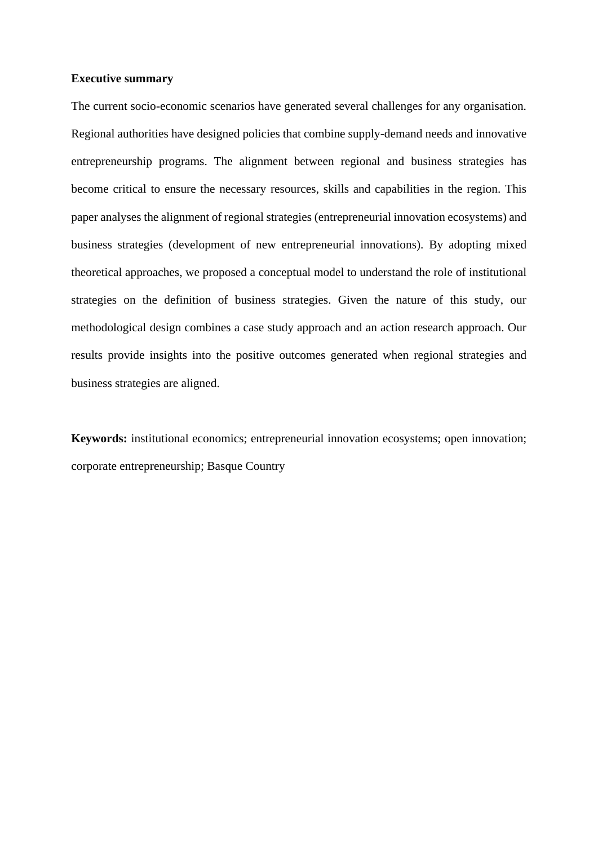# **Executive summary**

The current socio-economic scenarios have generated several challenges for any organisation. Regional authorities have designed policies that combine supply-demand needs and innovative entrepreneurship programs. The alignment between regional and business strategies has become critical to ensure the necessary resources, skills and capabilities in the region. This paper analyses the alignment of regional strategies (entrepreneurial innovation ecosystems) and business strategies (development of new entrepreneurial innovations). By adopting mixed theoretical approaches, we proposed a conceptual model to understand the role of institutional strategies on the definition of business strategies. Given the nature of this study, our methodological design combines a case study approach and an action research approach. Our results provide insights into the positive outcomes generated when regional strategies and business strategies are aligned.

**Keywords:** institutional economics; entrepreneurial innovation ecosystems; open innovation; corporate entrepreneurship; Basque Country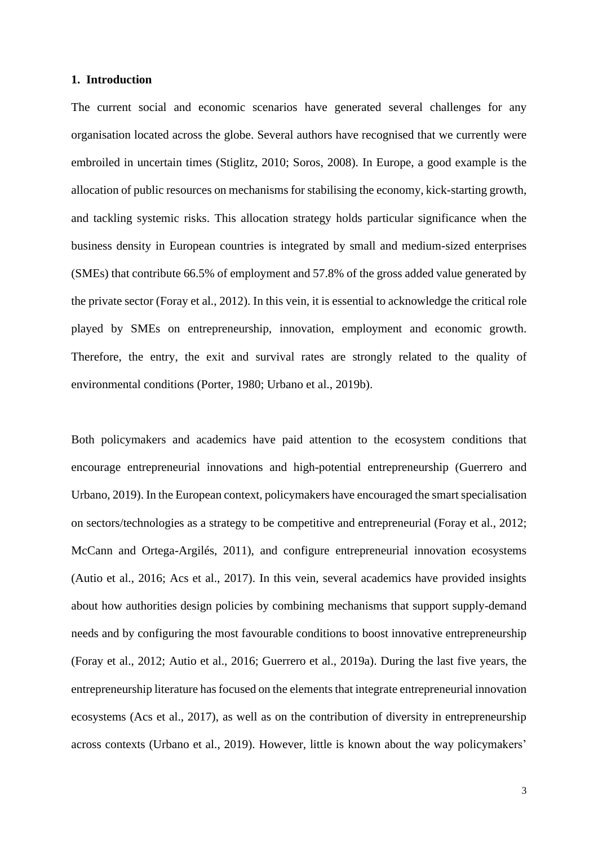# **1. Introduction**

The current social and economic scenarios have generated several challenges for any organisation located across the globe. Several authors have recognised that we currently were embroiled in uncertain times (Stiglitz, 2010; Soros, 2008). In Europe, a good example is the allocation of public resources on mechanisms for stabilising the economy, kick-starting growth, and tackling systemic risks. This allocation strategy holds particular significance when the business density in European countries is integrated by small and medium-sized enterprises (SMEs) that contribute 66.5% of employment and 57.8% of the gross added value generated by the private sector (Foray et al., 2012). In this vein, it is essential to acknowledge the critical role played by SMEs on entrepreneurship, innovation, employment and economic growth. Therefore, the entry, the exit and survival rates are strongly related to the quality of environmental conditions (Porter, 1980; Urbano et al., 2019b).

Both policymakers and academics have paid attention to the ecosystem conditions that encourage entrepreneurial innovations and high-potential entrepreneurship (Guerrero and Urbano, 2019). In the European context, policymakers have encouraged the smart specialisation on sectors/technologies as a strategy to be competitive and entrepreneurial (Foray et al., 2012; McCann and Ortega-Argilés, 2011), and configure entrepreneurial innovation ecosystems (Autio et al., 2016; Acs et al., 2017). In this vein, several academics have provided insights about how authorities design policies by combining mechanisms that support supply-demand needs and by configuring the most favourable conditions to boost innovative entrepreneurship (Foray et al., 2012; Autio et al., 2016; Guerrero et al., 2019a). During the last five years, the entrepreneurship literature has focused on the elements that integrate entrepreneurial innovation ecosystems (Acs et al., 2017), as well as on the contribution of diversity in entrepreneurship across contexts (Urbano et al., 2019). However, little is known about the way policymakers'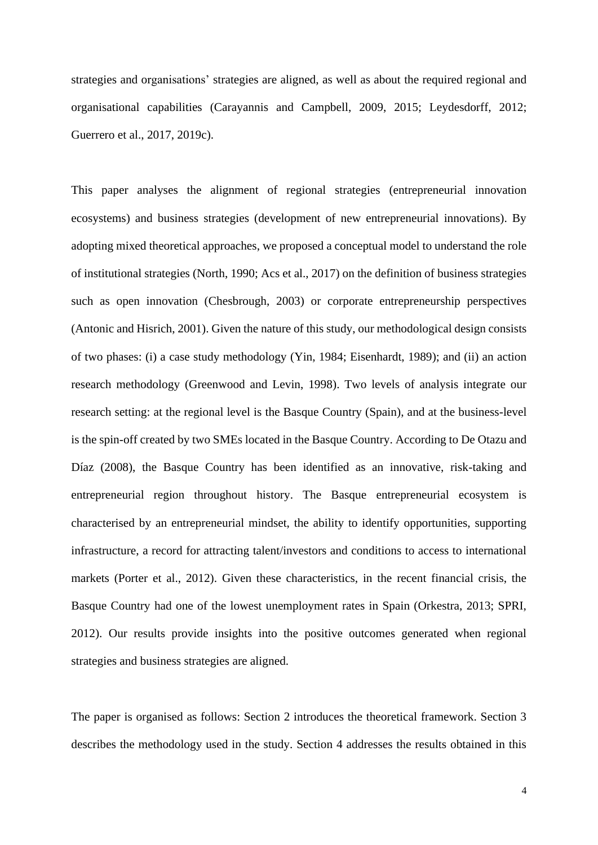strategies and organisations' strategies are aligned, as well as about the required regional and organisational capabilities (Carayannis and Campbell, 2009, 2015; Leydesdorff, 2012; Guerrero et al., 2017, 2019c).

This paper analyses the alignment of regional strategies (entrepreneurial innovation ecosystems) and business strategies (development of new entrepreneurial innovations). By adopting mixed theoretical approaches, we proposed a conceptual model to understand the role of institutional strategies (North, 1990; Acs et al., 2017) on the definition of business strategies such as open innovation (Chesbrough, 2003) or corporate entrepreneurship perspectives (Antonic and Hisrich, 2001). Given the nature of this study, our methodological design consists of two phases: (i) a case study methodology (Yin, 1984; Eisenhardt, 1989); and (ii) an action research methodology (Greenwood and Levin, 1998). Two levels of analysis integrate our research setting: at the regional level is the Basque Country (Spain), and at the business-level is the spin-off created by two SMEs located in the Basque Country. According to De Otazu and Díaz (2008), the Basque Country has been identified as an innovative, risk-taking and entrepreneurial region throughout history. The Basque entrepreneurial ecosystem is characterised by an entrepreneurial mindset, the ability to identify opportunities, supporting infrastructure, a record for attracting talent/investors and conditions to access to international markets (Porter et al., 2012). Given these characteristics, in the recent financial crisis, the Basque Country had one of the lowest unemployment rates in Spain (Orkestra, 2013; SPRI, 2012). Our results provide insights into the positive outcomes generated when regional strategies and business strategies are aligned.

The paper is organised as follows: Section 2 introduces the theoretical framework. Section 3 describes the methodology used in the study. Section 4 addresses the results obtained in this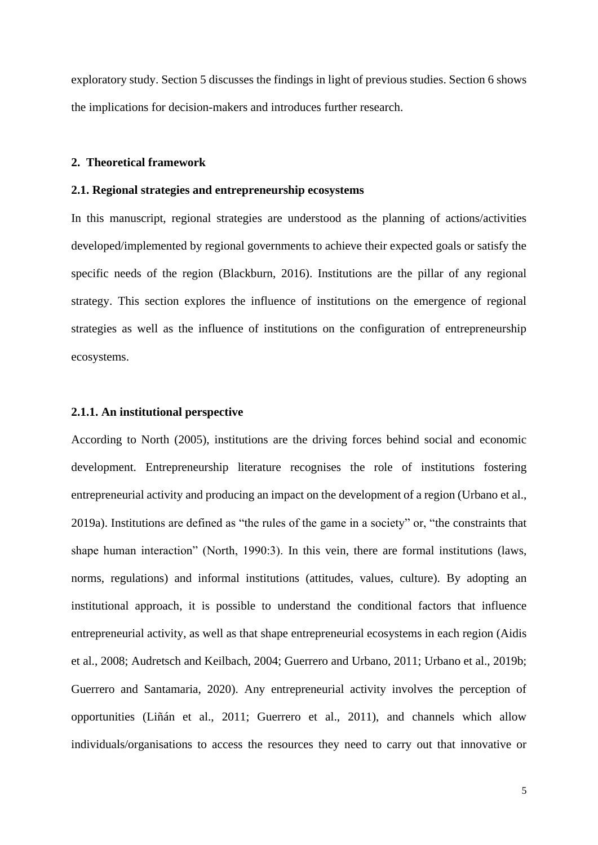exploratory study. Section 5 discusses the findings in light of previous studies. Section 6 shows the implications for decision-makers and introduces further research.

# **2. Theoretical framework**

## **2.1. Regional strategies and entrepreneurship ecosystems**

In this manuscript, regional strategies are understood as the planning of actions/activities developed/implemented by regional governments to achieve their expected goals or satisfy the specific needs of the region (Blackburn, 2016). Institutions are the pillar of any regional strategy. This section explores the influence of institutions on the emergence of regional strategies as well as the influence of institutions on the configuration of entrepreneurship ecosystems.

# **2.1.1. An institutional perspective**

According to North (2005), institutions are the driving forces behind social and economic development. Entrepreneurship literature recognises the role of institutions fostering entrepreneurial activity and producing an impact on the development of a region (Urbano et al., 2019a). Institutions are defined as "the rules of the game in a society" or, "the constraints that shape human interaction" (North, 1990:3). In this vein, there are formal institutions (laws, norms, regulations) and informal institutions (attitudes, values, culture). By adopting an institutional approach, it is possible to understand the conditional factors that influence entrepreneurial activity, as well as that shape entrepreneurial ecosystems in each region (Aidis et al., 2008; Audretsch and Keilbach, 2004; Guerrero and Urbano, 2011; Urbano et al., 2019b; Guerrero and Santamaria, 2020). Any entrepreneurial activity involves the perception of opportunities (Liñán et al., 2011; Guerrero et al., 2011), and channels which allow individuals/organisations to access the resources they need to carry out that innovative or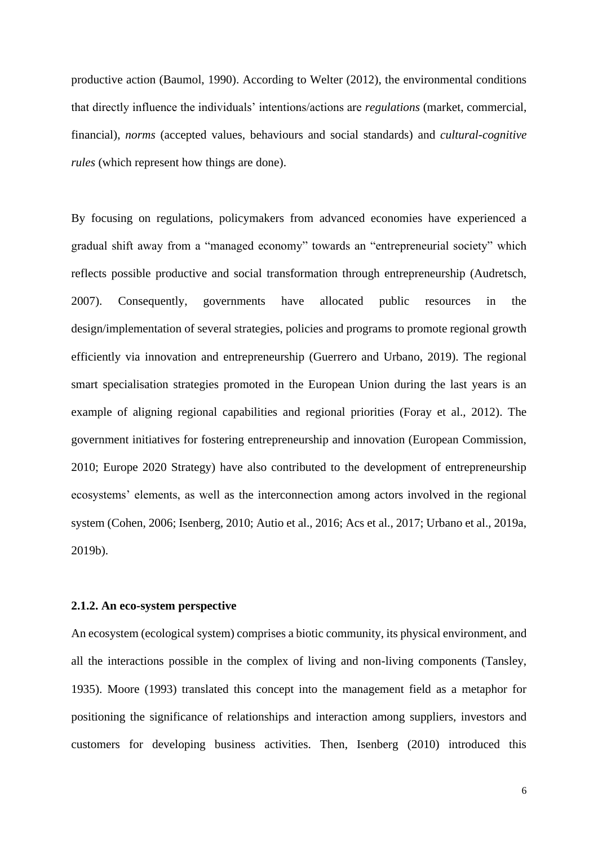productive action (Baumol, 1990). According to Welter (2012), the environmental conditions that directly influence the individuals' intentions/actions are *regulations* (market, commercial, financial), *norms* (accepted values, behaviours and social standards) and *cultural-cognitive rules* (which represent how things are done).

By focusing on regulations, policymakers from advanced economies have experienced a gradual shift away from a "managed economy" towards an "entrepreneurial society" which reflects possible productive and social transformation through entrepreneurship (Audretsch, 2007). Consequently, governments have allocated public resources in the design/implementation of several strategies, policies and programs to promote regional growth efficiently via innovation and entrepreneurship (Guerrero and Urbano, 2019). The regional smart specialisation strategies promoted in the European Union during the last years is an example of aligning regional capabilities and regional priorities (Foray et al., 2012). The government initiatives for fostering entrepreneurship and innovation (European Commission, 2010; Europe 2020 Strategy) have also contributed to the development of entrepreneurship ecosystems' elements, as well as the interconnection among actors involved in the regional system (Cohen, 2006; Isenberg, 2010; Autio et al., 2016; Acs et al., 2017; Urbano et al., 2019a, 2019b).

#### **2.1.2. An eco-system perspective**

An ecosystem (ecological system) comprises a biotic community, its physical environment, and all the interactions possible in the complex of living and non-living components (Tansley, 1935). Moore (1993) translated this concept into the management field as a metaphor for positioning the significance of relationships and interaction among suppliers, investors and customers for developing business activities. Then, Isenberg (2010) introduced this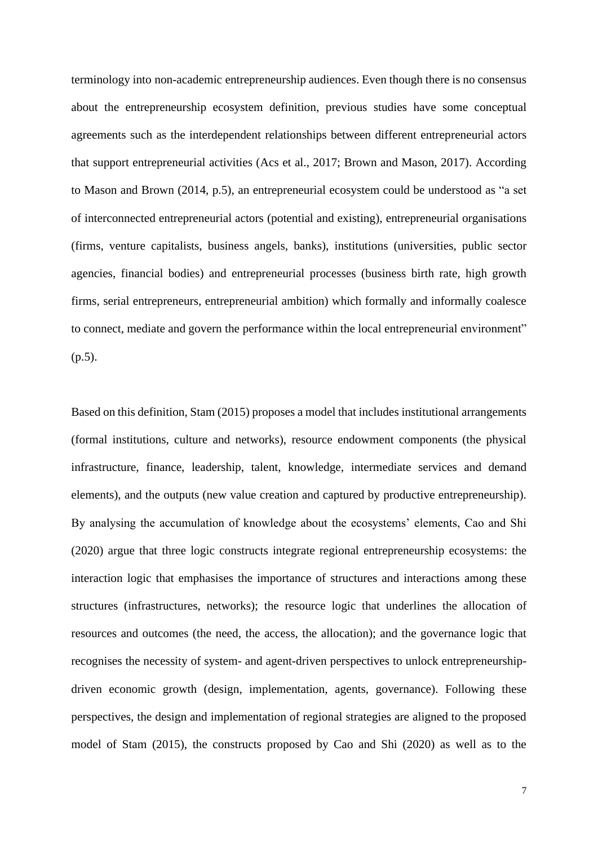terminology into non-academic entrepreneurship audiences. Even though there is no consensus about the entrepreneurship ecosystem definition, previous studies have some conceptual agreements such as the interdependent relationships between different entrepreneurial actors that support entrepreneurial activities (Acs et al., 2017; Brown and Mason, 2017). According to Mason and Brown (2014, p.5), an entrepreneurial ecosystem could be understood as "a set of interconnected entrepreneurial actors (potential and existing), entrepreneurial organisations (firms, venture capitalists, business angels, banks), institutions (universities, public sector agencies, financial bodies) and entrepreneurial processes (business birth rate, high growth firms, serial entrepreneurs, entrepreneurial ambition) which formally and informally coalesce to connect, mediate and govern the performance within the local entrepreneurial environment" (p.5).

Based on this definition, Stam (2015) proposes a model that includes institutional arrangements (formal institutions, culture and networks), resource endowment components (the physical infrastructure, finance, leadership, talent, knowledge, intermediate services and demand elements), and the outputs (new value creation and captured by productive entrepreneurship). By analysing the accumulation of knowledge about the ecosystems' elements, Cao and Shi (2020) argue that three logic constructs integrate regional entrepreneurship ecosystems: the interaction logic that emphasises the importance of structures and interactions among these structures (infrastructures, networks); the resource logic that underlines the allocation of resources and outcomes (the need, the access, the allocation); and the governance logic that recognises the necessity of system- and agent-driven perspectives to unlock entrepreneurshipdriven economic growth (design, implementation, agents, governance). Following these perspectives, the design and implementation of regional strategies are aligned to the proposed model of Stam (2015), the constructs proposed by Cao and Shi (2020) as well as to the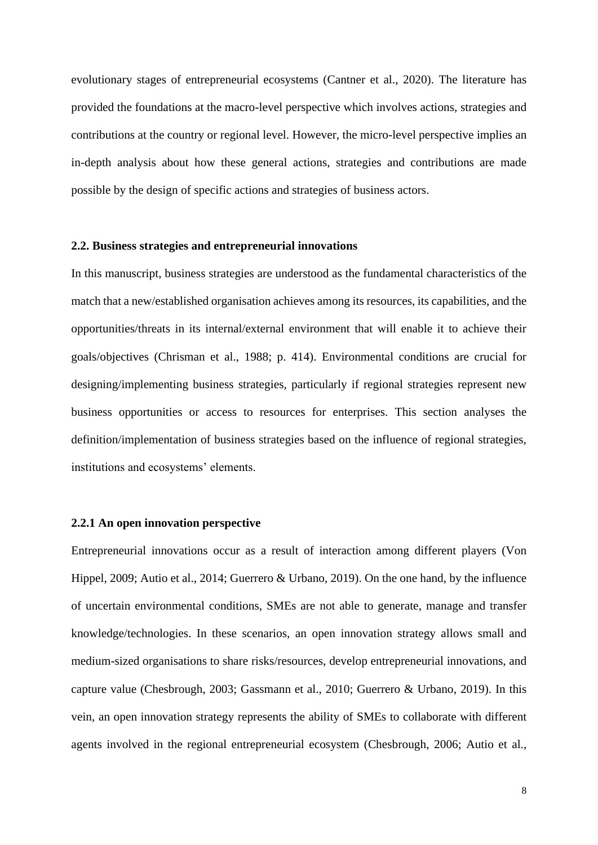evolutionary stages of entrepreneurial ecosystems (Cantner et al., 2020). The literature has provided the foundations at the macro-level perspective which involves actions, strategies and contributions at the country or regional level. However, the micro-level perspective implies an in-depth analysis about how these general actions, strategies and contributions are made possible by the design of specific actions and strategies of business actors.

# **2.2. Business strategies and entrepreneurial innovations**

In this manuscript, business strategies are understood as the fundamental characteristics of the match that a new/established organisation achieves among its resources, its capabilities, and the opportunities/threats in its internal/external environment that will enable it to achieve their goals/objectives (Chrisman et al., 1988; p. 414). Environmental conditions are crucial for designing/implementing business strategies, particularly if regional strategies represent new business opportunities or access to resources for enterprises. This section analyses the definition/implementation of business strategies based on the influence of regional strategies, institutions and ecosystems' elements.

# **2.2.1 An open innovation perspective**

Entrepreneurial innovations occur as a result of interaction among different players (Von Hippel, 2009; Autio et al., 2014; Guerrero & Urbano, 2019). On the one hand, by the influence of uncertain environmental conditions, SMEs are not able to generate, manage and transfer knowledge/technologies. In these scenarios, an open innovation strategy allows small and medium-sized organisations to share risks/resources, develop entrepreneurial innovations, and capture value (Chesbrough, 2003; Gassmann et al., 2010; Guerrero & Urbano, 2019). In this vein, an open innovation strategy represents the ability of SMEs to collaborate with different agents involved in the regional entrepreneurial ecosystem (Chesbrough, 2006; Autio et al.,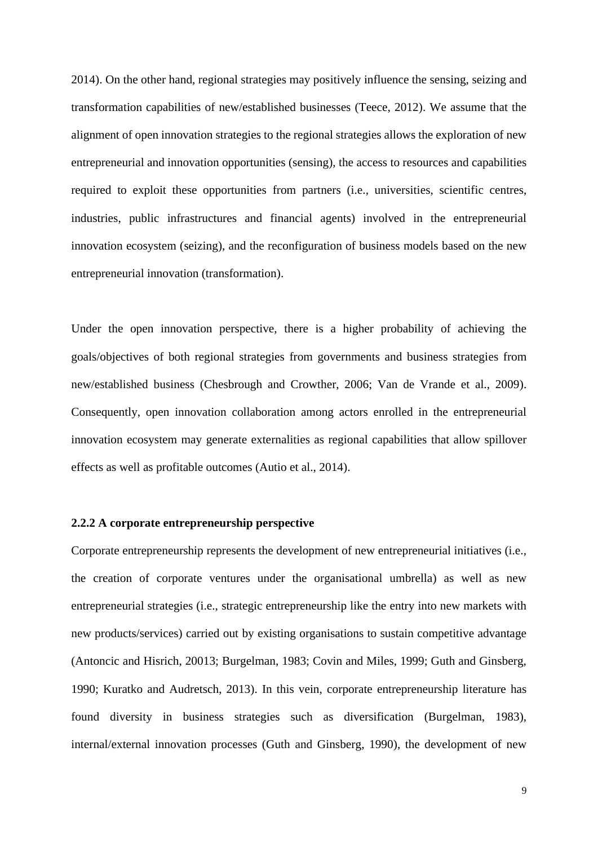2014). On the other hand, regional strategies may positively influence the sensing, seizing and transformation capabilities of new/established businesses (Teece, 2012). We assume that the alignment of open innovation strategies to the regional strategies allows the exploration of new entrepreneurial and innovation opportunities (sensing), the access to resources and capabilities required to exploit these opportunities from partners (i.e., universities, scientific centres, industries, public infrastructures and financial agents) involved in the entrepreneurial innovation ecosystem (seizing), and the reconfiguration of business models based on the new entrepreneurial innovation (transformation).

Under the open innovation perspective, there is a higher probability of achieving the goals/objectives of both regional strategies from governments and business strategies from new/established business (Chesbrough and Crowther, 2006; Van de Vrande et al., 2009). Consequently, open innovation collaboration among actors enrolled in the entrepreneurial innovation ecosystem may generate externalities as regional capabilities that allow spillover effects as well as profitable outcomes (Autio et al., 2014).

# **2.2.2 A corporate entrepreneurship perspective**

Corporate entrepreneurship represents the development of new entrepreneurial initiatives (i.e., the creation of corporate ventures under the organisational umbrella) as well as new entrepreneurial strategies (i.e., strategic entrepreneurship like the entry into new markets with new products/services) carried out by existing organisations to sustain competitive advantage (Antoncic and Hisrich, 20013; Burgelman, 1983; Covin and Miles, 1999; Guth and Ginsberg, 1990; Kuratko and Audretsch, 2013). In this vein, corporate entrepreneurship literature has found diversity in business strategies such as diversification (Burgelman, 1983), internal/external innovation processes (Guth and Ginsberg, 1990), the development of new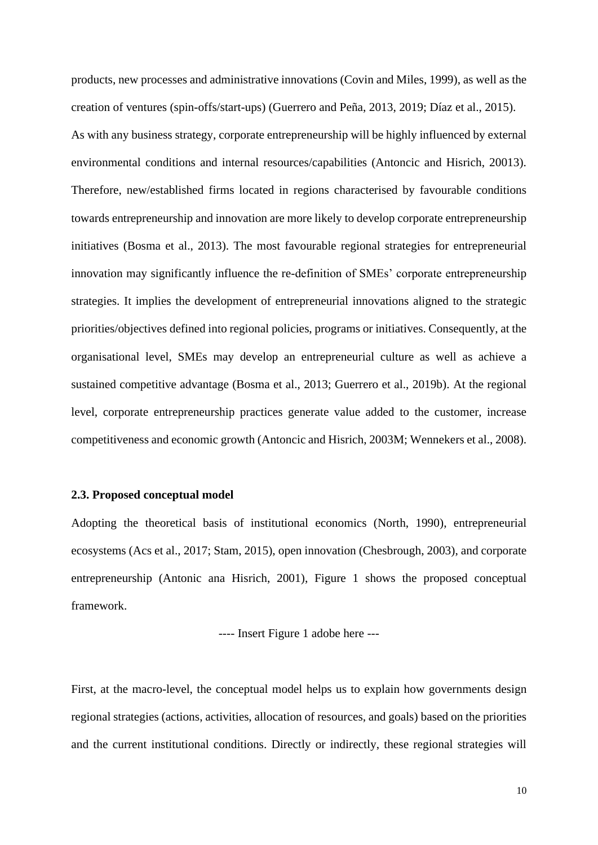products, new processes and administrative innovations (Covin and Miles, 1999), as well as the creation of ventures (spin-offs/start-ups) (Guerrero and Peña, 2013, 2019; Díaz et al., 2015). As with any business strategy, corporate entrepreneurship will be highly influenced by external environmental conditions and internal resources/capabilities (Antoncic and Hisrich, 20013). Therefore, new/established firms located in regions characterised by favourable conditions towards entrepreneurship and innovation are more likely to develop corporate entrepreneurship initiatives (Bosma et al., 2013). The most favourable regional strategies for entrepreneurial innovation may significantly influence the re-definition of SMEs' corporate entrepreneurship strategies. It implies the development of entrepreneurial innovations aligned to the strategic priorities/objectives defined into regional policies, programs or initiatives. Consequently, at the organisational level, SMEs may develop an entrepreneurial culture as well as achieve a sustained competitive advantage (Bosma et al., 2013; Guerrero et al., 2019b). At the regional level, corporate entrepreneurship practices generate value added to the customer, increase competitiveness and economic growth (Antoncic and Hisrich, 2003M; Wennekers et al., 2008).

#### **2.3. Proposed conceptual model**

Adopting the theoretical basis of institutional economics (North, 1990), entrepreneurial ecosystems (Acs et al., 2017; Stam, 2015), open innovation (Chesbrough, 2003), and corporate entrepreneurship (Antonic ana Hisrich, 2001), Figure 1 shows the proposed conceptual framework.

---- Insert Figure 1 adobe here ---

First, at the macro-level, the conceptual model helps us to explain how governments design regional strategies (actions, activities, allocation of resources, and goals) based on the priorities and the current institutional conditions. Directly or indirectly, these regional strategies will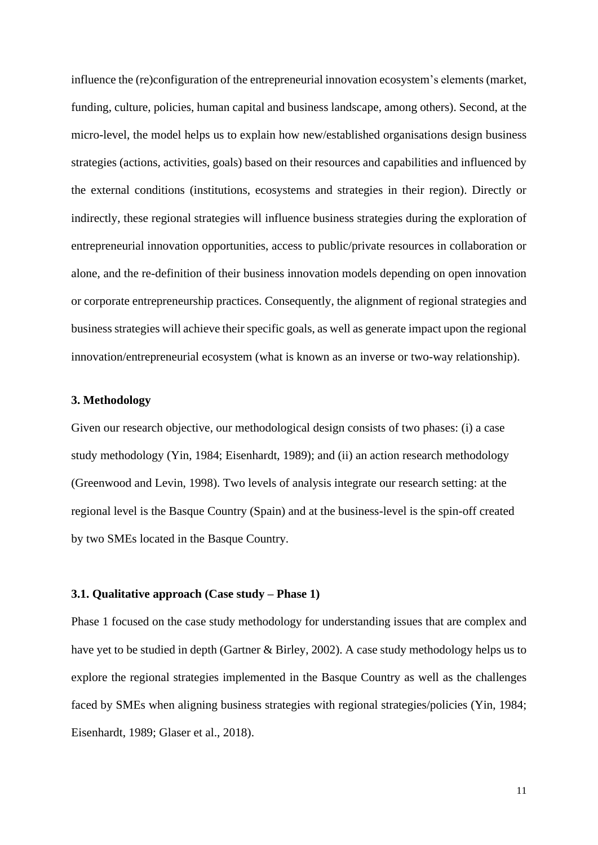influence the (re)configuration of the entrepreneurial innovation ecosystem's elements (market, funding, culture, policies, human capital and business landscape, among others). Second, at the micro-level, the model helps us to explain how new/established organisations design business strategies (actions, activities, goals) based on their resources and capabilities and influenced by the external conditions (institutions, ecosystems and strategies in their region). Directly or indirectly, these regional strategies will influence business strategies during the exploration of entrepreneurial innovation opportunities, access to public/private resources in collaboration or alone, and the re-definition of their business innovation models depending on open innovation or corporate entrepreneurship practices. Consequently, the alignment of regional strategies and business strategies will achieve their specific goals, as well as generate impact upon the regional innovation/entrepreneurial ecosystem (what is known as an inverse or two-way relationship).

## **3. Methodology**

Given our research objective, our methodological design consists of two phases: (i) a case study methodology (Yin, 1984; Eisenhardt, 1989); and (ii) an action research methodology (Greenwood and Levin, 1998). Two levels of analysis integrate our research setting: at the regional level is the Basque Country (Spain) and at the business-level is the spin-off created by two SMEs located in the Basque Country.

# **3.1. Qualitative approach (Case study – Phase 1)**

Phase 1 focused on the case study methodology for understanding issues that are complex and have yet to be studied in depth (Gartner & Birley, 2002). A case study methodology helps us to explore the regional strategies implemented in the Basque Country as well as the challenges faced by SMEs when aligning business strategies with regional strategies/policies (Yin, 1984; Eisenhardt, 1989; Glaser et al., 2018).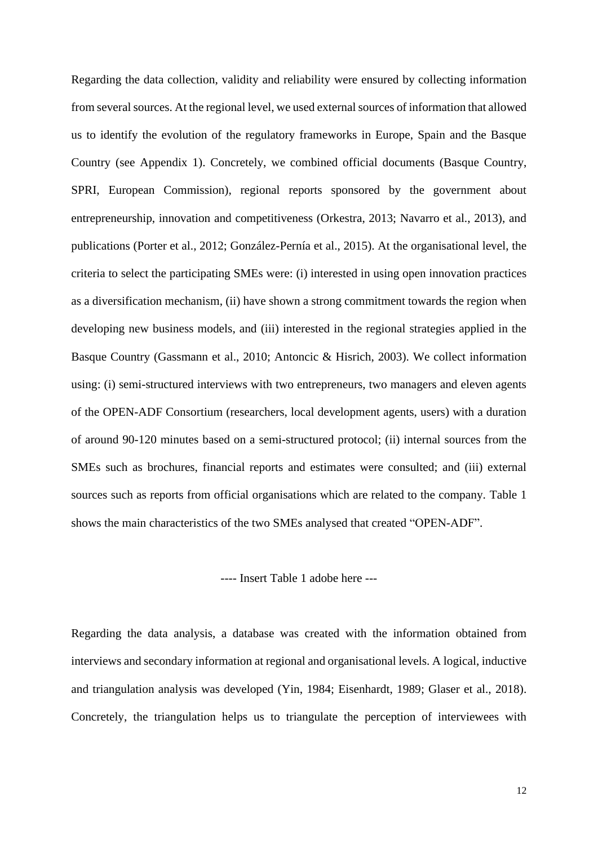Regarding the data collection, validity and reliability were ensured by collecting information from several sources. At the regional level, we used external sources of information that allowed us to identify the evolution of the regulatory frameworks in Europe, Spain and the Basque Country (see Appendix 1). Concretely, we combined official documents (Basque Country, SPRI, European Commission), regional reports sponsored by the government about entrepreneurship, innovation and competitiveness (Orkestra, 2013; Navarro et al., 2013), and publications (Porter et al., 2012; González-Pernía et al., 2015). At the organisational level, the criteria to select the participating SMEs were: (i) interested in using open innovation practices as a diversification mechanism, (ii) have shown a strong commitment towards the region when developing new business models, and (iii) interested in the regional strategies applied in the Basque Country (Gassmann et al., 2010; Antoncic & Hisrich, 2003). We collect information using: (i) semi-structured interviews with two entrepreneurs, two managers and eleven agents of the OPEN-ADF Consortium (researchers, local development agents, users) with a duration of around 90-120 minutes based on a semi-structured protocol; (ii) internal sources from the SMEs such as brochures, financial reports and estimates were consulted; and (iii) external sources such as reports from official organisations which are related to the company. Table 1 shows the main characteristics of the two SMEs analysed that created "OPEN-ADF".

---- Insert Table 1 adobe here ---

Regarding the data analysis, a database was created with the information obtained from interviews and secondary information at regional and organisational levels. A logical, inductive and triangulation analysis was developed (Yin, 1984; Eisenhardt, 1989; Glaser et al., 2018). Concretely, the triangulation helps us to triangulate the perception of interviewees with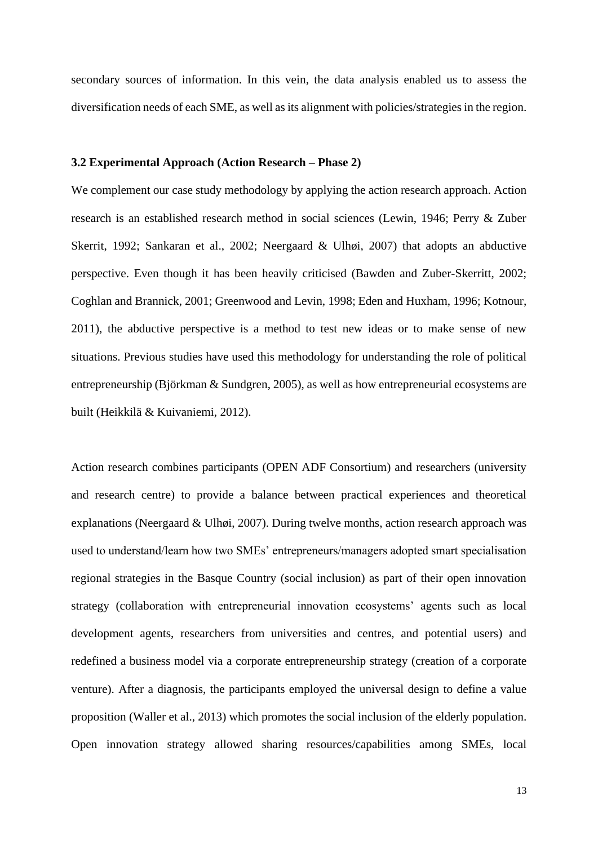secondary sources of information. In this vein, the data analysis enabled us to assess the diversification needs of each SME, as well as its alignment with policies/strategies in the region.

# **3.2 Experimental Approach (Action Research – Phase 2)**

We complement our case study methodology by applying the action research approach. Action research is an established research method in social sciences (Lewin, 1946; Perry & Zuber Skerrit, 1992; Sankaran et al., 2002; Neergaard & Ulhøi, 2007) that adopts an abductive perspective. Even though it has been heavily criticised (Bawden and Zuber-Skerritt, 2002; Coghlan and Brannick, 2001; Greenwood and Levin, 1998; Eden and Huxham, 1996; Kotnour, 2011), the abductive perspective is a method to test new ideas or to make sense of new situations. Previous studies have used this methodology for understanding the role of political entrepreneurship (Björkman & Sundgren, 2005), as well as how entrepreneurial ecosystems are built (Heikkilä & Kuivaniemi, 2012).

Action research combines participants (OPEN ADF Consortium) and researchers (university and research centre) to provide a balance between practical experiences and theoretical explanations (Neergaard & Ulhøi, 2007). During twelve months, action research approach was used to understand/learn how two SMEs' entrepreneurs/managers adopted smart specialisation regional strategies in the Basque Country (social inclusion) as part of their open innovation strategy (collaboration with entrepreneurial innovation ecosystems' agents such as local development agents, researchers from universities and centres, and potential users) and redefined a business model via a corporate entrepreneurship strategy (creation of a corporate venture). After a diagnosis, the participants employed the universal design to define a value proposition (Waller et al., 2013) which promotes the social inclusion of the elderly population. Open innovation strategy allowed sharing resources/capabilities among SMEs, local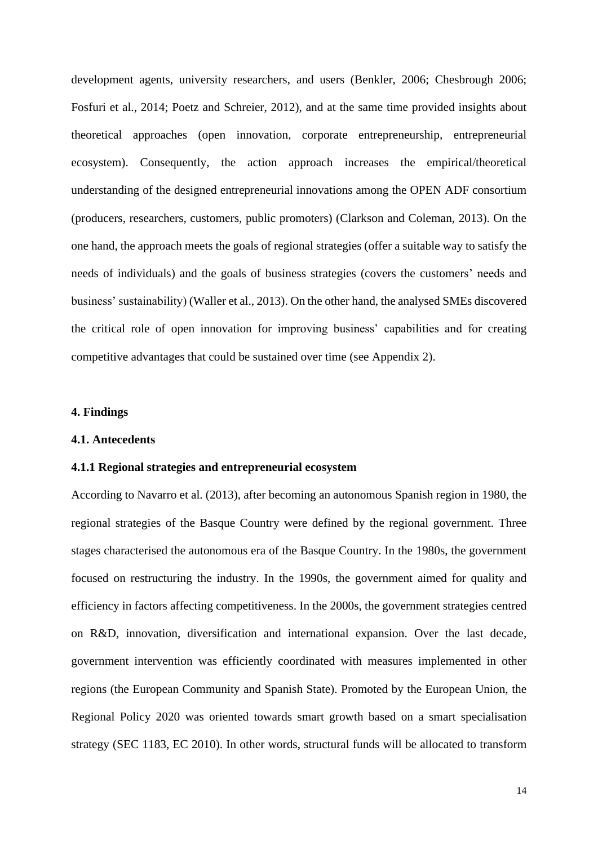development agents, university researchers, and users (Benkler, 2006; Chesbrough 2006; Fosfuri et al., 2014; Poetz and Schreier, 2012), and at the same time provided insights about theoretical approaches (open innovation, corporate entrepreneurship, entrepreneurial ecosystem). Consequently, the action approach increases the empirical/theoretical understanding of the designed entrepreneurial innovations among the OPEN ADF consortium (producers, researchers, customers, public promoters) (Clarkson and Coleman, 2013). On the one hand, the approach meets the goals of regional strategies (offer a suitable way to satisfy the needs of individuals) and the goals of business strategies (covers the customers' needs and business' sustainability) (Waller et al., 2013). On the other hand, the analysed SMEs discovered the critical role of open innovation for improving business' capabilities and for creating competitive advantages that could be sustained over time (see Appendix 2).

# **4. Findings**

#### **4.1. Antecedents**

## **4.1.1 Regional strategies and entrepreneurial ecosystem**

According to Navarro et al. (2013), after becoming an autonomous Spanish region in 1980, the regional strategies of the Basque Country were defined by the regional government. Three stages characterised the autonomous era of the Basque Country. In the 1980s, the government focused on restructuring the industry. In the 1990s, the government aimed for quality and efficiency in factors affecting competitiveness. In the 2000s, the government strategies centred on R&D, innovation, diversification and international expansion. Over the last decade, government intervention was efficiently coordinated with measures implemented in other regions (the European Community and Spanish State). Promoted by the European Union, the Regional Policy 2020 was oriented towards smart growth based on a smart specialisation strategy (SEC 1183, EC 2010). In other words, structural funds will be allocated to transform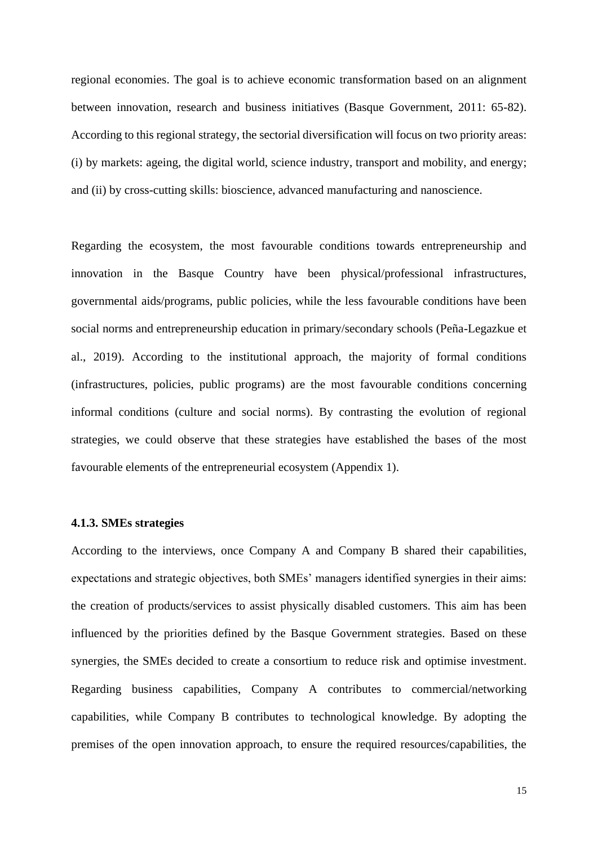regional economies. The goal is to achieve economic transformation based on an alignment between innovation, research and business initiatives (Basque Government, 2011: 65-82). According to this regional strategy, the sectorial diversification will focus on two priority areas: (i) by markets: ageing, the digital world, science industry, transport and mobility, and energy; and (ii) by cross-cutting skills: bioscience, advanced manufacturing and nanoscience.

Regarding the ecosystem, the most favourable conditions towards entrepreneurship and innovation in the Basque Country have been physical/professional infrastructures, governmental aids/programs, public policies, while the less favourable conditions have been social norms and entrepreneurship education in primary/secondary schools (Peña-Legazkue et al., 2019). According to the institutional approach, the majority of formal conditions (infrastructures, policies, public programs) are the most favourable conditions concerning informal conditions (culture and social norms). By contrasting the evolution of regional strategies, we could observe that these strategies have established the bases of the most favourable elements of the entrepreneurial ecosystem (Appendix 1).

# **4.1.3. SMEs strategies**

According to the interviews, once Company A and Company B shared their capabilities, expectations and strategic objectives, both SMEs' managers identified synergies in their aims: the creation of products/services to assist physically disabled customers. This aim has been influenced by the priorities defined by the Basque Government strategies. Based on these synergies, the SMEs decided to create a consortium to reduce risk and optimise investment. Regarding business capabilities, Company A contributes to commercial/networking capabilities, while Company B contributes to technological knowledge. By adopting the premises of the open innovation approach, to ensure the required resources/capabilities, the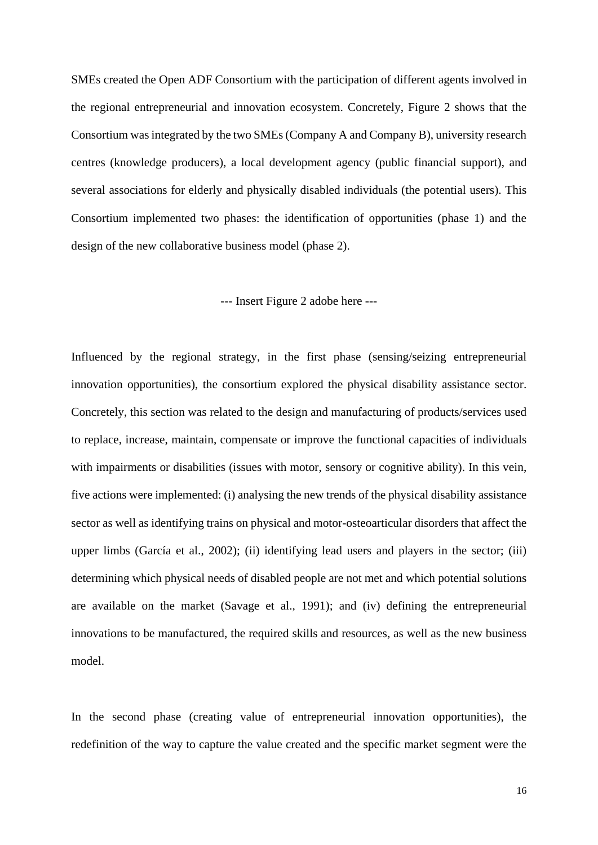SMEs created the Open ADF Consortium with the participation of different agents involved in the regional entrepreneurial and innovation ecosystem. Concretely, Figure 2 shows that the Consortium was integrated by the two SMEs (Company A and Company B), university research centres (knowledge producers), a local development agency (public financial support), and several associations for elderly and physically disabled individuals (the potential users). This Consortium implemented two phases: the identification of opportunities (phase 1) and the design of the new collaborative business model (phase 2).

# --- Insert Figure 2 adobe here ---

Influenced by the regional strategy, in the first phase (sensing/seizing entrepreneurial innovation opportunities), the consortium explored the physical disability assistance sector. Concretely, this section was related to the design and manufacturing of products/services used to replace, increase, maintain, compensate or improve the functional capacities of individuals with impairments or disabilities (issues with motor, sensory or cognitive ability). In this vein, five actions were implemented: (i) analysing the new trends of the physical disability assistance sector as well as identifying trains on physical and motor-osteoarticular disorders that affect the upper limbs (García et al., 2002); (ii) identifying lead users and players in the sector; (iii) determining which physical needs of disabled people are not met and which potential solutions are available on the market (Savage et al., 1991); and (iv) defining the entrepreneurial innovations to be manufactured, the required skills and resources, as well as the new business model.

In the second phase (creating value of entrepreneurial innovation opportunities), the redefinition of the way to capture the value created and the specific market segment were the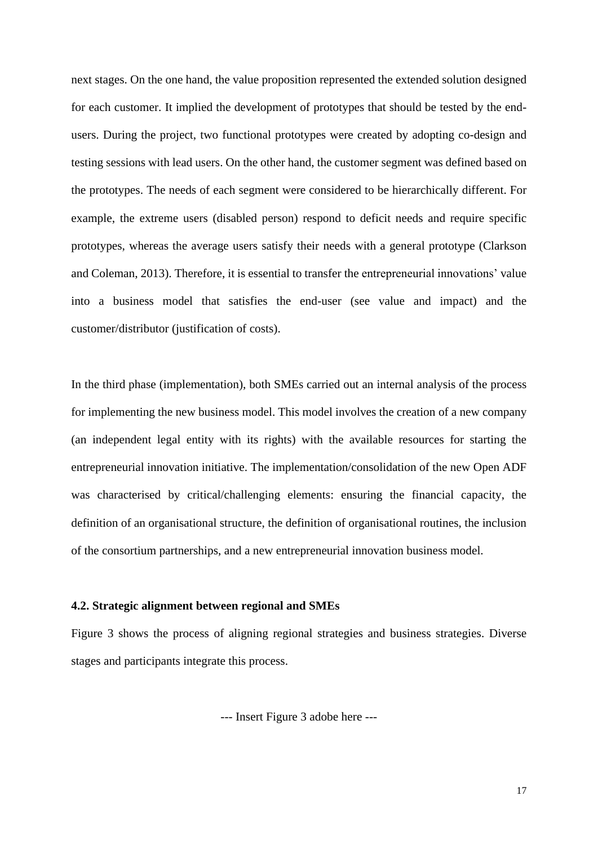next stages. On the one hand, the value proposition represented the extended solution designed for each customer. It implied the development of prototypes that should be tested by the endusers. During the project, two functional prototypes were created by adopting co-design and testing sessions with lead users. On the other hand, the customer segment was defined based on the prototypes. The needs of each segment were considered to be hierarchically different. For example, the extreme users (disabled person) respond to deficit needs and require specific prototypes, whereas the average users satisfy their needs with a general prototype (Clarkson and Coleman, 2013). Therefore, it is essential to transfer the entrepreneurial innovations' value into a business model that satisfies the end-user (see value and impact) and the customer/distributor (justification of costs).

In the third phase (implementation), both SMEs carried out an internal analysis of the process for implementing the new business model. This model involves the creation of a new company (an independent legal entity with its rights) with the available resources for starting the entrepreneurial innovation initiative. The implementation/consolidation of the new Open ADF was characterised by critical/challenging elements: ensuring the financial capacity, the definition of an organisational structure, the definition of organisational routines, the inclusion of the consortium partnerships, and a new entrepreneurial innovation business model.

# **4.2. Strategic alignment between regional and SMEs**

Figure 3 shows the process of aligning regional strategies and business strategies. Diverse stages and participants integrate this process.

--- Insert Figure 3 adobe here ---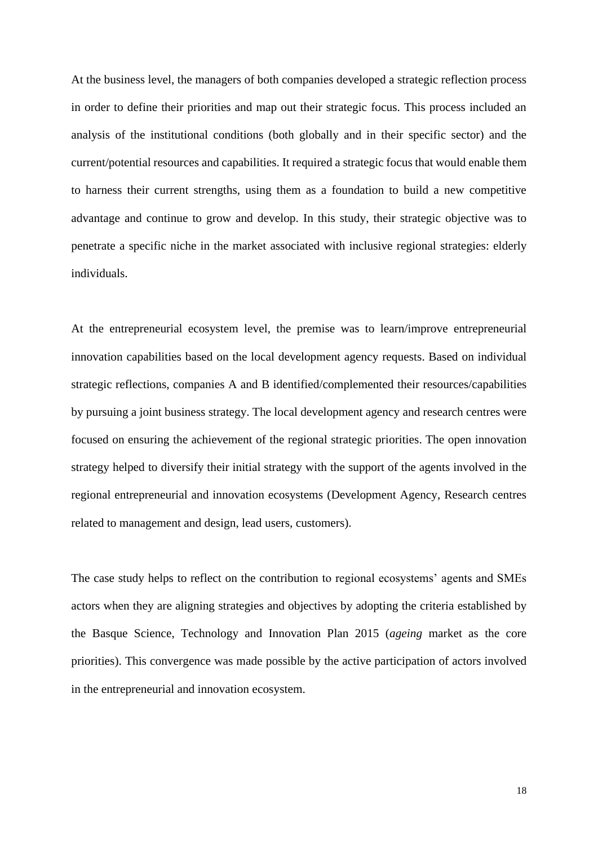At the business level, the managers of both companies developed a strategic reflection process in order to define their priorities and map out their strategic focus. This process included an analysis of the institutional conditions (both globally and in their specific sector) and the current/potential resources and capabilities. It required a strategic focus that would enable them to harness their current strengths, using them as a foundation to build a new competitive advantage and continue to grow and develop. In this study, their strategic objective was to penetrate a specific niche in the market associated with inclusive regional strategies: elderly individuals.

At the entrepreneurial ecosystem level, the premise was to learn/improve entrepreneurial innovation capabilities based on the local development agency requests. Based on individual strategic reflections, companies A and B identified/complemented their resources/capabilities by pursuing a joint business strategy. The local development agency and research centres were focused on ensuring the achievement of the regional strategic priorities. The open innovation strategy helped to diversify their initial strategy with the support of the agents involved in the regional entrepreneurial and innovation ecosystems (Development Agency, Research centres related to management and design, lead users, customers).

The case study helps to reflect on the contribution to regional ecosystems' agents and SMEs actors when they are aligning strategies and objectives by adopting the criteria established by the Basque Science, Technology and Innovation Plan 2015 (*ageing* market as the core priorities). This convergence was made possible by the active participation of actors involved in the entrepreneurial and innovation ecosystem.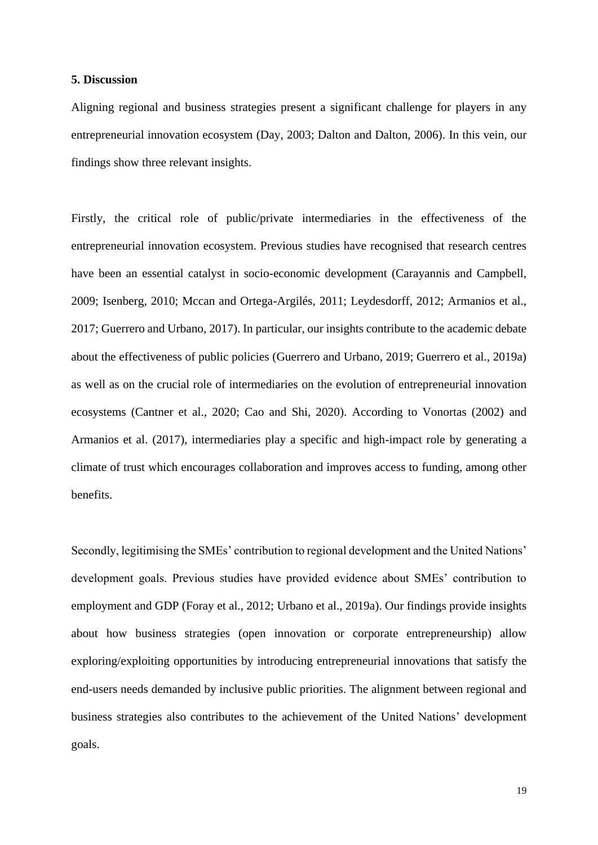## **5. Discussion**

Aligning regional and business strategies present a significant challenge for players in any entrepreneurial innovation ecosystem (Day, 2003; Dalton and Dalton, 2006). In this vein, our findings show three relevant insights.

Firstly, the critical role of public/private intermediaries in the effectiveness of the entrepreneurial innovation ecosystem. Previous studies have recognised that research centres have been an essential catalyst in socio-economic development (Carayannis and Campbell, 2009; Isenberg, 2010; Mccan and Ortega-Argilés, 2011; Leydesdorff, 2012; Armanios et al., 2017; Guerrero and Urbano, 2017). In particular, our insights contribute to the academic debate about the effectiveness of public policies (Guerrero and Urbano, 2019; Guerrero et al., 2019a) as well as on the crucial role of intermediaries on the evolution of entrepreneurial innovation ecosystems (Cantner et al., 2020; Cao and Shi, 2020). According to Vonortas (2002) and Armanios et al. (2017), intermediaries play a specific and high-impact role by generating a climate of trust which encourages collaboration and improves access to funding, among other benefits.

Secondly, legitimising the SMEs' contribution to regional development and the United Nations' development goals. Previous studies have provided evidence about SMEs' contribution to employment and GDP (Foray et al., 2012; Urbano et al., 2019a). Our findings provide insights about how business strategies (open innovation or corporate entrepreneurship) allow exploring/exploiting opportunities by introducing entrepreneurial innovations that satisfy the end-users needs demanded by inclusive public priorities. The alignment between regional and business strategies also contributes to the achievement of the United Nations' development goals.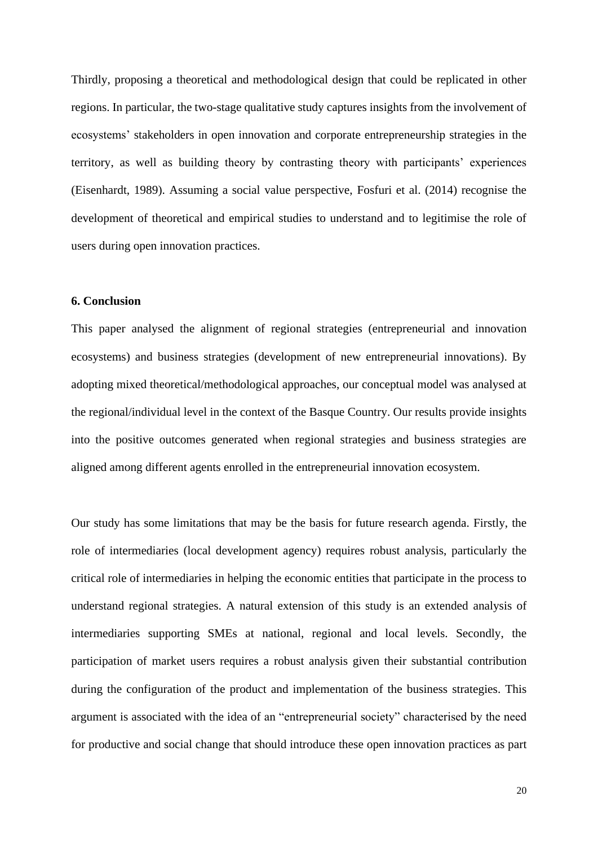Thirdly, proposing a theoretical and methodological design that could be replicated in other regions. In particular, the two-stage qualitative study captures insights from the involvement of ecosystems' stakeholders in open innovation and corporate entrepreneurship strategies in the territory, as well as building theory by contrasting theory with participants' experiences (Eisenhardt, 1989). Assuming a social value perspective, Fosfuri et al. (2014) recognise the development of theoretical and empirical studies to understand and to legitimise the role of users during open innovation practices.

# **6. Conclusion**

This paper analysed the alignment of regional strategies (entrepreneurial and innovation ecosystems) and business strategies (development of new entrepreneurial innovations). By adopting mixed theoretical/methodological approaches, our conceptual model was analysed at the regional/individual level in the context of the Basque Country. Our results provide insights into the positive outcomes generated when regional strategies and business strategies are aligned among different agents enrolled in the entrepreneurial innovation ecosystem.

Our study has some limitations that may be the basis for future research agenda. Firstly, the role of intermediaries (local development agency) requires robust analysis, particularly the critical role of intermediaries in helping the economic entities that participate in the process to understand regional strategies. A natural extension of this study is an extended analysis of intermediaries supporting SMEs at national, regional and local levels. Secondly, the participation of market users requires a robust analysis given their substantial contribution during the configuration of the product and implementation of the business strategies. This argument is associated with the idea of an "entrepreneurial society" characterised by the need for productive and social change that should introduce these open innovation practices as part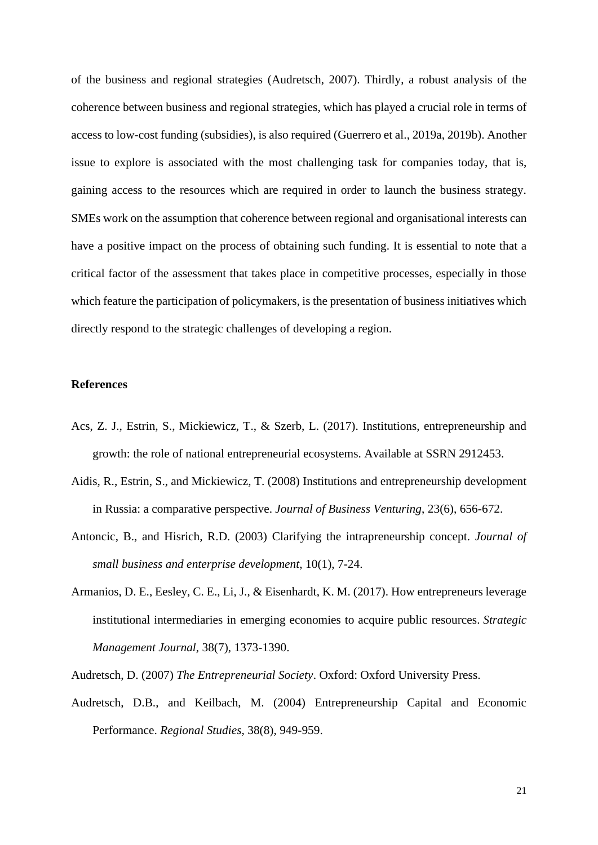of the business and regional strategies (Audretsch, 2007). Thirdly, a robust analysis of the coherence between business and regional strategies, which has played a crucial role in terms of access to low-cost funding (subsidies), is also required (Guerrero et al., 2019a, 2019b). Another issue to explore is associated with the most challenging task for companies today, that is, gaining access to the resources which are required in order to launch the business strategy. SMEs work on the assumption that coherence between regional and organisational interests can have a positive impact on the process of obtaining such funding. It is essential to note that a critical factor of the assessment that takes place in competitive processes, especially in those which feature the participation of policymakers, is the presentation of business initiatives which directly respond to the strategic challenges of developing a region.

# **References**

- Acs, Z. J., Estrin, S., Mickiewicz, T., & Szerb, L. (2017). Institutions, entrepreneurship and growth: the role of national entrepreneurial ecosystems. Available at SSRN 2912453.
- Aidis, R., Estrin, S., and Mickiewicz, T. (2008) Institutions and entrepreneurship development in Russia: a comparative perspective. *Journal of Business Venturing*, 23(6), 656-672.
- Antoncic, B., and Hisrich, R.D. (2003) Clarifying the intrapreneurship concept. *Journal of small business and enterprise development*, 10(1), 7-24.
- Armanios, D. E., Eesley, C. E., Li, J., & Eisenhardt, K. M. (2017). How entrepreneurs leverage institutional intermediaries in emerging economies to acquire public resources. *Strategic Management Journal*, 38(7), 1373-1390.

Audretsch, D. (2007) *The Entrepreneurial Society*. Oxford: Oxford University Press.

Audretsch, D.B., and Keilbach, M. (2004) Entrepreneurship Capital and Economic Performance. *Regional Studies*, 38(8), 949-959.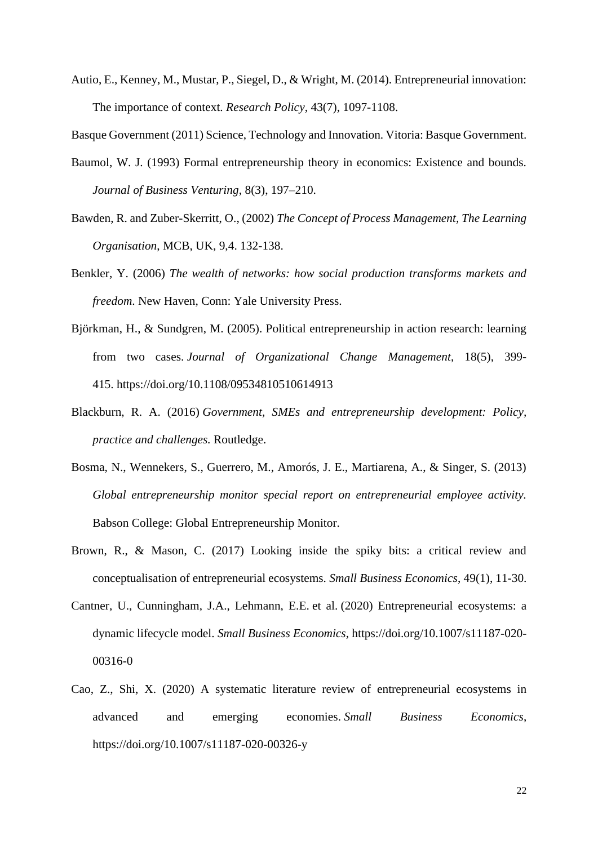Autio, E., Kenney, M., Mustar, P., Siegel, D., & Wright, M. (2014). Entrepreneurial innovation: The importance of context. *Research Policy*, 43(7), 1097-1108.

Basque Government (2011) Science, Technology and Innovation. Vitoria: Basque Government.

- Baumol, W. J. (1993) Formal entrepreneurship theory in economics: Existence and bounds. *Journal of Business Venturing*, 8(3), 197–210.
- Bawden, R. and Zuber-Skerritt, O., (2002) *The Concept of Process Management, The Learning Organisation*, MCB, UK, 9,4. 132-138.
- Benkler, Y. (2006) *The wealth of networks: how social production transforms markets and freedom*. New Haven, Conn: Yale University Press.
- Björkman, H., & Sundgren, M. (2005). Political entrepreneurship in action research: learning from two cases. *Journal of Organizational Change Management*, 18(5), 399- 415. https://doi.org/10.1108/09534810510614913
- Blackburn, R. A. (2016) *Government, SMEs and entrepreneurship development: Policy, practice and challenges.* Routledge.
- Bosma, N., Wennekers, S., Guerrero, M., Amorós, J. E., Martiarena, A., & Singer, S. (2013) *Global entrepreneurship monitor special report on entrepreneurial employee activity.* Babson College: Global Entrepreneurship Monitor.
- Brown, R., & Mason, C. (2017) Looking inside the spiky bits: a critical review and conceptualisation of entrepreneurial ecosystems. *Small Business Economics*, 49(1), 11-30.
- Cantner, U., Cunningham, J.A., Lehmann, E.E. et al. (2020) Entrepreneurial ecosystems: a dynamic lifecycle model. *Small Business Economics*, https://doi.org/10.1007/s11187-020- 00316-0
- Cao, Z., Shi, X. (2020) A systematic literature review of entrepreneurial ecosystems in advanced and emerging economies. *Small Business Economics*, https://doi.org/10.1007/s11187-020-00326-y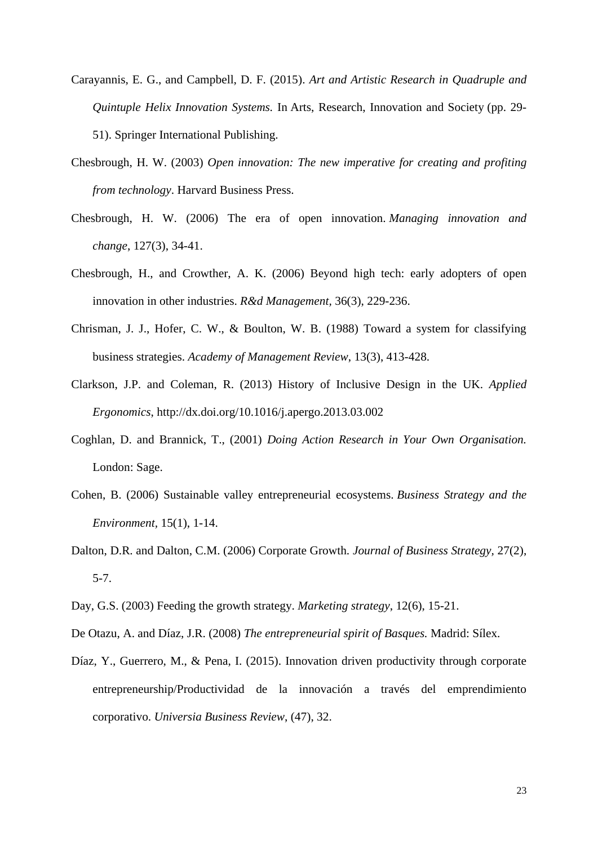- Carayannis, E. G., and Campbell, D. F. (2015). *Art and Artistic Research in Quadruple and Quintuple Helix Innovation Systems.* In Arts, Research, Innovation and Society (pp. 29- 51). Springer International Publishing.
- Chesbrough, H. W. (2003) *Open innovation: The new imperative for creating and profiting from technology*. Harvard Business Press.
- Chesbrough, H. W. (2006) The era of open innovation. *Managing innovation and change*, 127(3), 34-41.
- Chesbrough, H., and Crowther, A. K. (2006) Beyond high tech: early adopters of open innovation in other industries. *R&d Management,* 36(3), 229-236.
- Chrisman, J. J., Hofer, C. W., & Boulton, W. B. (1988) Toward a system for classifying business strategies. *Academy of Management Review*, 13(3), 413-428.
- Clarkson, J.P. and Coleman, R. (2013) History of Inclusive Design in the UK. *Applied Ergonomics*, http://dx.doi.org/10.1016/j.apergo.2013.03.002
- Coghlan, D. and Brannick, T., (2001) *Doing Action Research in Your Own Organisation.* London: Sage.
- Cohen, B. (2006) Sustainable valley entrepreneurial ecosystems. *Business Strategy and the Environment,* 15(1), 1-14.
- Dalton, D.R. and Dalton, C.M. (2006) Corporate Growth. *Journal of Business Strategy,* 27(2), 5-7.
- Day, G.S. (2003) Feeding the growth strategy. *Marketing strategy*, 12(6), 15-21.
- De Otazu, A. and Díaz, J.R. (2008) *The entrepreneurial spirit of Basques.* Madrid: Sílex.
- Díaz, Y., Guerrero, M., & Pena, I. (2015). Innovation driven productivity through corporate entrepreneurship/Productividad de la innovación a través del emprendimiento corporativo. *Universia Business Review*, (47), 32.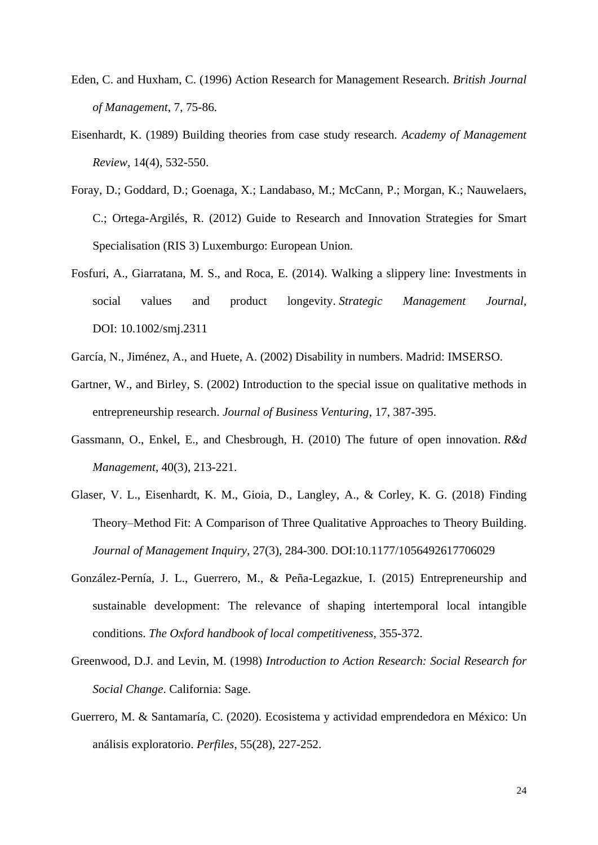- Eden, C. and Huxham, C. (1996) Action Research for Management Research. *British Journal of Management*, 7, 75-86.
- Eisenhardt, K. (1989) Building theories from case study research. *Academy of Management Review*, 14(4), 532-550.
- Foray, D.; Goddard, D.; Goenaga, X.; Landabaso, M.; McCann, P.; Morgan, K.; Nauwelaers, C.; Ortega-Argilés, R. (2012) Guide to Research and Innovation Strategies for Smart Specialisation (RIS 3) Luxemburgo: European Union.
- Fosfuri, A., Giarratana, M. S., and Roca, E. (2014). Walking a slippery line: Investments in social values and product longevity. *Strategic Management Journal*, DOI: 10.1002/smj.2311
- García, N., Jiménez, A., and Huete, A. (2002) Disability in numbers. Madrid: IMSERSO.
- Gartner, W., and Birley, S. (2002) Introduction to the special issue on qualitative methods in entrepreneurship research. *Journal of Business Venturing*, 17, 387-395.
- Gassmann, O., Enkel, E., and Chesbrough, H. (2010) The future of open innovation. *R&d Management*, 40(3), 213-221.
- Glaser, V. L., Eisenhardt, K. M., Gioia, D., Langley, A., & Corley, K. G. (2018) Finding Theory–Method Fit: A Comparison of Three Qualitative Approaches to Theory Building. *Journal of Management Inquiry*, 27(3), 284-300. DOI:10.1177/1056492617706029
- González-Pernía, J. L., Guerrero, M., & Peña-Legazkue, I. (2015) Entrepreneurship and sustainable development: The relevance of shaping intertemporal local intangible conditions. *The Oxford handbook of local competitiveness*, 355-372.
- Greenwood, D.J. and Levin, M. (1998) *Introduction to Action Research: Social Research for Social Change*. California: Sage.
- Guerrero, M. & Santamaría, C. (2020). Ecosistema y actividad emprendedora en México: Un análisis exploratorio. *Perfiles*, 55(28), 227-252.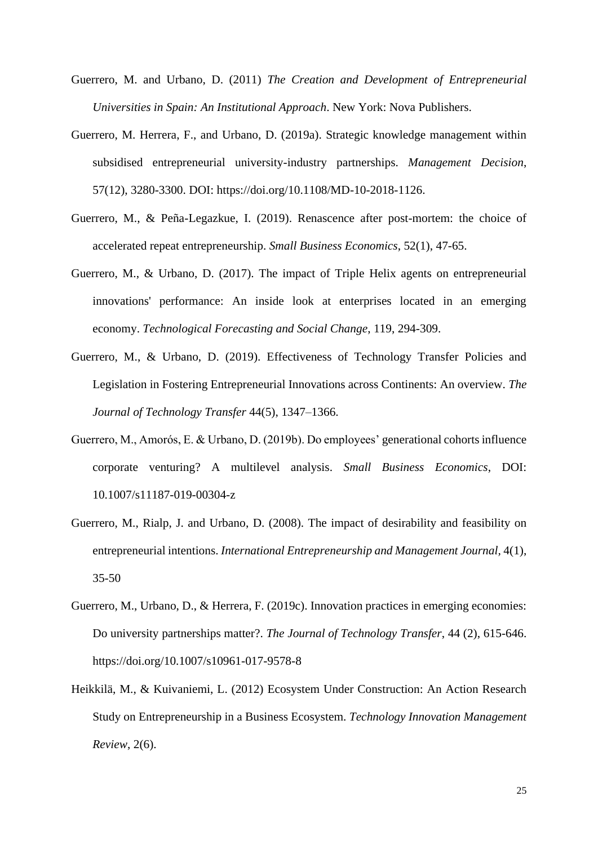- Guerrero, M. and Urbano, D. (2011) *The Creation and Development of Entrepreneurial Universities in Spain: An Institutional Approach*. New York: Nova Publishers.
- Guerrero, M. Herrera, F., and Urbano, D. (2019a). Strategic knowledge management within subsidised entrepreneurial university-industry partnerships. *Management Decision*, 57(12), 3280-3300. DOI: https://doi.org/10.1108/MD-10-2018-1126.
- Guerrero, M., & Peña-Legazkue, I. (2019). Renascence after post-mortem: the choice of accelerated repeat entrepreneurship. *Small Business Economics*, 52(1), 47-65.
- Guerrero, M., & Urbano, D. (2017). The impact of Triple Helix agents on entrepreneurial innovations' performance: An inside look at enterprises located in an emerging economy. *Technological Forecasting and Social Change*, 119, 294-309.
- Guerrero, M., & Urbano, D. (2019). Effectiveness of Technology Transfer Policies and Legislation in Fostering Entrepreneurial Innovations across Continents: An overview. *The Journal of Technology Transfer* 44(5), 1347–1366.
- Guerrero, M., Amorós, E. & Urbano, D. (2019b). Do employees' generational cohorts influence corporate venturing? A multilevel analysis. *Small Business Economics*, DOI: 10.1007/s11187-019-00304-z
- Guerrero, M., Rialp, J. and Urbano, D. (2008). The impact of desirability and feasibility on entrepreneurial intentions. *International Entrepreneurship and Management Journal,* 4(1), 35-50
- Guerrero, M., Urbano, D., & Herrera, F. (2019c). Innovation practices in emerging economies: Do university partnerships matter?. *The Journal of Technology Transfer*, 44 (2), 615-646. https://doi.org/10.1007/s10961-017-9578-8
- Heikkilä, M., & Kuivaniemi, L. (2012) Ecosystem Under Construction: An Action Research Study on Entrepreneurship in a Business Ecosystem. *Technology Innovation Management Review*, 2(6).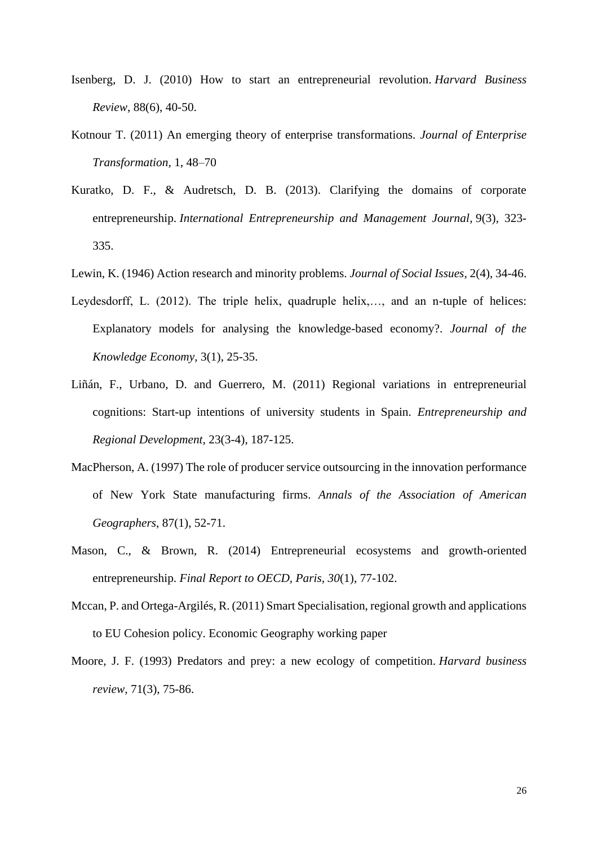- Isenberg, D. J. (2010) How to start an entrepreneurial revolution. *Harvard Business Review*, 88(6), 40-50.
- Kotnour T. (2011) An emerging theory of enterprise transformations*. Journal of Enterprise Transformation,* 1, 48–70
- Kuratko, D. F., & Audretsch, D. B. (2013). Clarifying the domains of corporate entrepreneurship. *International Entrepreneurship and Management Journal*, 9(3), 323- 335.
- Lewin, K. (1946) Action research and minority problems. *Journal of Social Issues,* 2(4), 34-46.
- Leydesdorff, L. (2012). The triple helix, quadruple helix,..., and an n-tuple of helices: Explanatory models for analysing the knowledge-based economy?. *Journal of the Knowledge Economy*, 3(1), 25-35.
- Liñán, F., Urbano, D. and Guerrero, M. (2011) Regional variations in entrepreneurial cognitions: Start-up intentions of university students in Spain. *Entrepreneurship and Regional Development*, 23(3-4), 187-125.
- MacPherson, A. (1997) The role of producer service outsourcing in the innovation performance of New York State manufacturing firms. *Annals of the Association of American Geographers*, 87(1), 52-71.
- Mason, C., & Brown, R. (2014) Entrepreneurial ecosystems and growth-oriented entrepreneurship. *Final Report to OECD, Paris, 30*(1), 77-102.
- Mccan, P. and Ortega-Argilés, R. (2011) Smart Specialisation, regional growth and applications to EU Cohesion policy. Economic Geography working paper
- Moore, J. F. (1993) Predators and prey: a new ecology of competition. *Harvard business review,* 71(3), 75-86.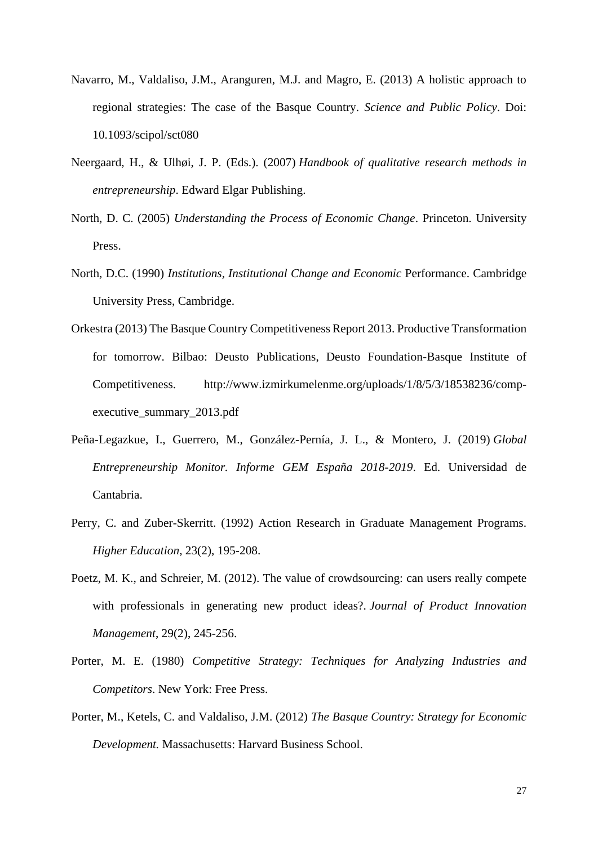- Navarro, M., Valdaliso, J.M., Aranguren, M.J. and Magro, E. (2013) A holistic approach to regional strategies: The case of the Basque Country. *Science and Public Policy*. Doi: 10.1093/scipol/sct080
- Neergaard, H., & Ulhøi, J. P. (Eds.). (2007) *Handbook of qualitative research methods in entrepreneurship*. Edward Elgar Publishing.
- North, D. C. (2005) *Understanding the Process of Economic Change*. Princeton. University Press.
- North, D.C. (1990) *Institutions, Institutional Change and Economic* Performance. Cambridge University Press, Cambridge.
- Orkestra (2013) The Basque Country Competitiveness Report 2013. Productive Transformation for tomorrow. Bilbao: Deusto Publications, Deusto Foundation-Basque Institute of Competitiveness. http://www.izmirkumelenme.org/uploads/1/8/5/3/18538236/compexecutive summary 2013.pdf
- Peña-Legazkue, I., Guerrero, M., González-Pernía, J. L., & Montero, J. (2019) *Global Entrepreneurship Monitor. Informe GEM España 2018-2019*. Ed. Universidad de Cantabria.
- Perry, C. and Zuber-Skerritt. (1992) Action Research in Graduate Management Programs. *Higher Education*, 23(2), 195-208.
- Poetz, M. K., and Schreier, M. (2012). The value of crowdsourcing: can users really compete with professionals in generating new product ideas?. *Journal of Product Innovation Management*, 29(2), 245-256.
- Porter, M. E. (1980) *Competitive Strategy: Techniques for Analyzing Industries and Competitors*. New York: Free Press.
- Porter, M., Ketels, C. and Valdaliso, J.M. (2012) *The Basque Country: Strategy for Economic Development.* Massachusetts: Harvard Business School.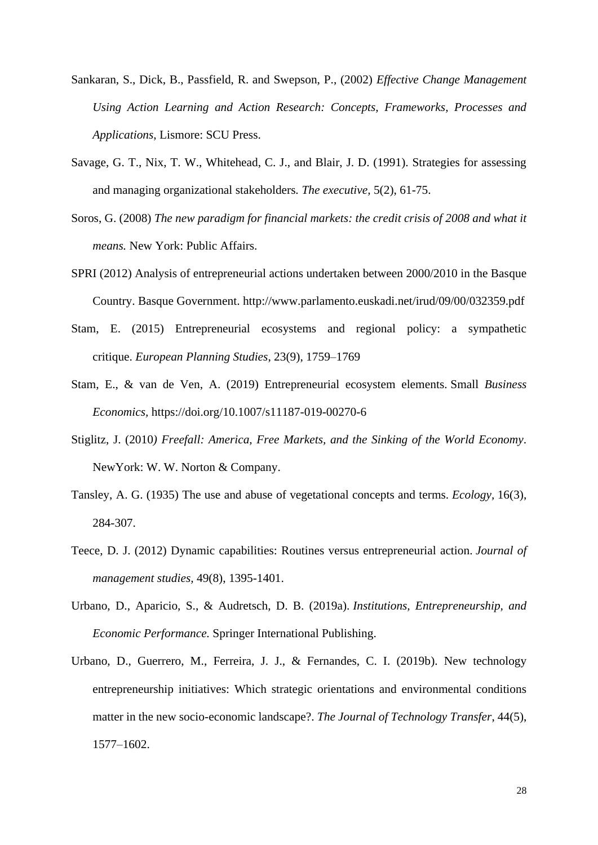- Sankaran, S., Dick, B., Passfield, R. and Swepson, P., (2002) *Effective Change Management Using Action Learning and Action Research: Concepts, Frameworks, Processes and Applications*, Lismore: SCU Press.
- Savage, G. T., Nix, T. W., Whitehead, C. J., and Blair, J. D. (1991). Strategies for assessing and managing organizational stakeholders*. The executive,* 5(2), 61-75.
- Soros, G. (2008) *The new paradigm for financial markets: the credit crisis of 2008 and what it means.* New York: Public Affairs.
- SPRI (2012) Analysis of entrepreneurial actions undertaken between 2000/2010 in the Basque Country. Basque Government. http://www.parlamento.euskadi.net/irud/09/00/032359.pdf
- Stam, E. (2015) Entrepreneurial ecosystems and regional policy: a sympathetic critique. *European Planning Studies*, 23(9), 1759–1769
- Stam, E., & van de Ven, A. (2019) Entrepreneurial ecosystem elements. Small *Business Economics,* https://doi.org/10.1007/s11187-019-00270-6
- Stiglitz, J. (2010*) Freefall: America, Free Markets, and the Sinking of the World Economy*. NewYork: W. W. Norton & Company.
- Tansley, A. G. (1935) The use and abuse of vegetational concepts and terms. *Ecology,* 16(3), 284-307.
- Teece, D. J. (2012) Dynamic capabilities: Routines versus entrepreneurial action. *Journal of management studies,* 49(8), 1395-1401.
- Urbano, D., Aparicio, S., & Audretsch, D. B. (2019a). *Institutions, Entrepreneurship, and Economic Performance.* Springer International Publishing.
- Urbano, D., Guerrero, M., Ferreira, J. J., & Fernandes, C. I. (2019b). New technology entrepreneurship initiatives: Which strategic orientations and environmental conditions matter in the new socio-economic landscape?. *The Journal of Technology Transfer*, 44(5), 1577–1602.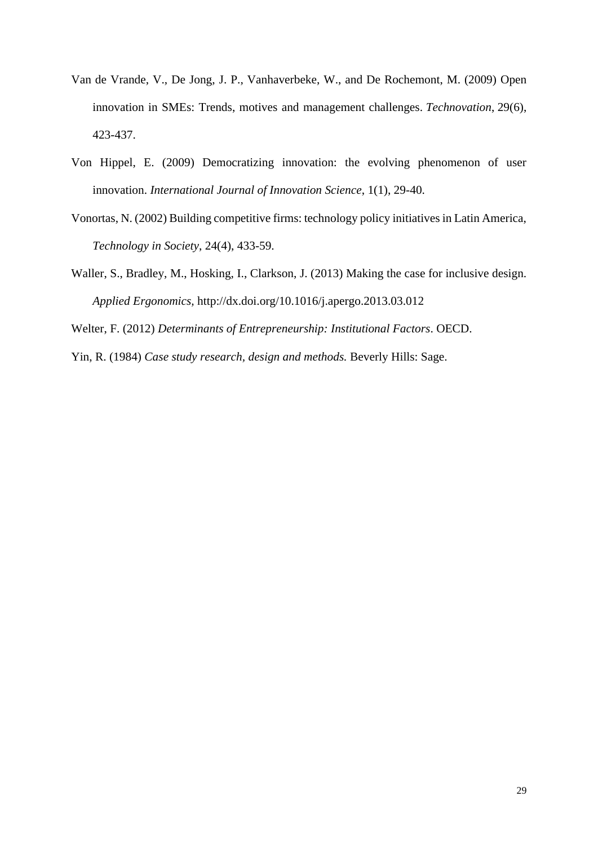- Van de Vrande, V., De Jong, J. P., Vanhaverbeke, W., and De Rochemont, M. (2009) Open innovation in SMEs: Trends, motives and management challenges. *Technovation*, 29(6), 423-437.
- Von Hippel, E. (2009) Democratizing innovation: the evolving phenomenon of user innovation. *International Journal of Innovation Science*, 1(1), 29-40.
- Vonortas, N. (2002) Building competitive firms: technology policy initiatives in Latin America, *Technology in Society*, 24(4), 433-59.
- Waller, S., Bradley, M., Hosking, I., Clarkson, J. (2013) Making the case for inclusive design. *Applied Ergonomics,* http://dx.doi.org/10.1016/j.apergo.2013.03.012

Welter, F. (2012) *Determinants of Entrepreneurship: Institutional Factors*. OECD.

Yin, R. (1984) *Case study research, design and methods.* Beverly Hills: Sage.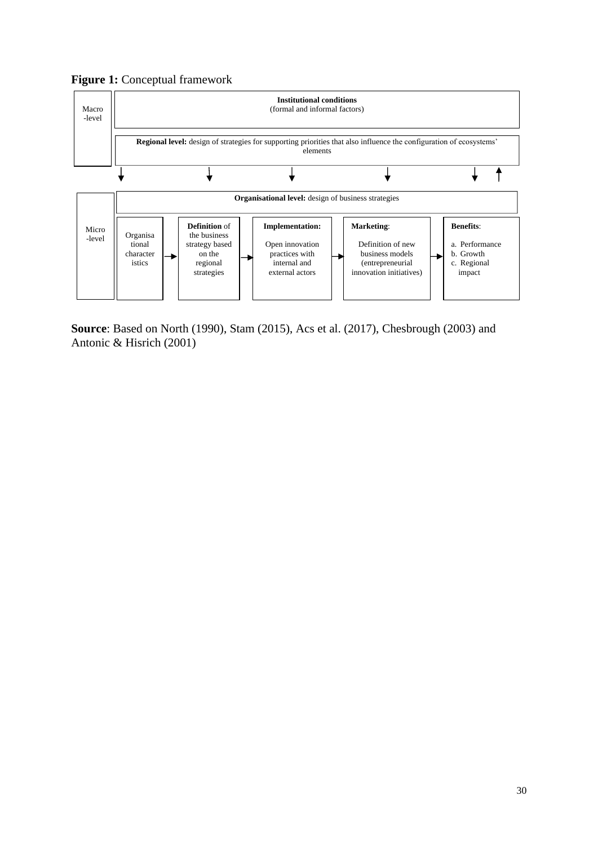# **Figure 1:** Conceptual framework



**Source**: Based on North (1990), Stam (2015), Acs et al. (2017), Chesbrough (2003) and Antonic & Hisrich (2001)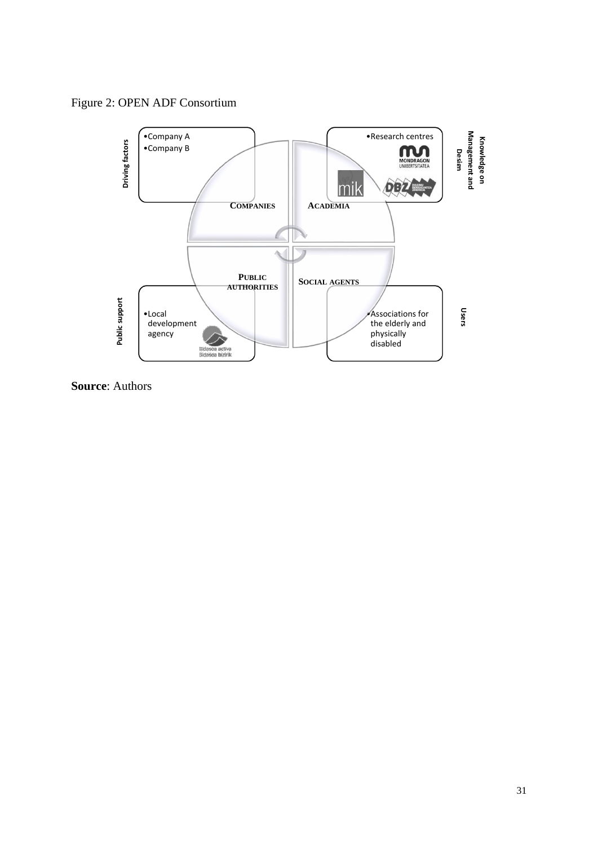Figure 2: OPEN ADF Consortium



**Source**: Authors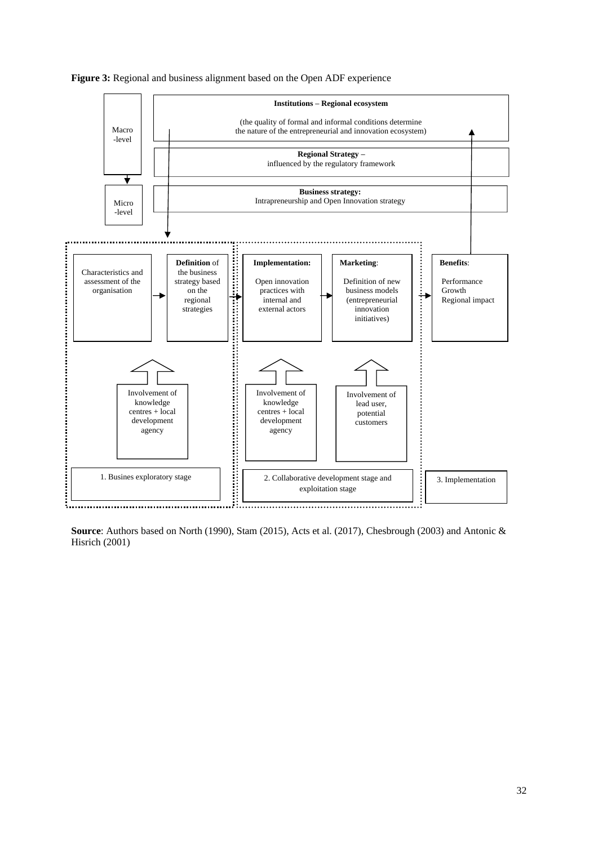

#### **Figure 3:** Regional and business alignment based on the Open ADF experience

**Source**: Authors based on North (1990), Stam (2015), Acts et al. (2017), Chesbrough (2003) and Antonic & Hisrich (2001)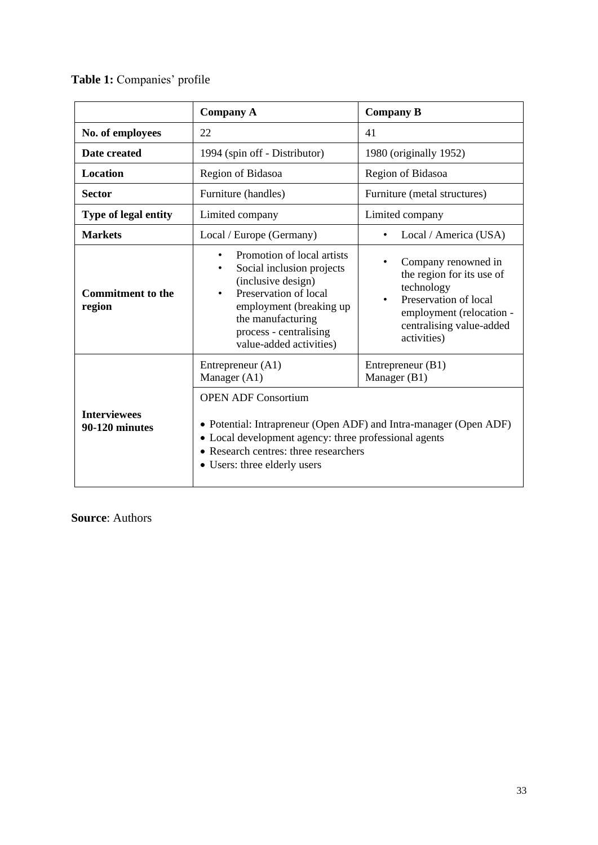**Table 1:** Companies' profile

|                                       | <b>Company A</b>                                                                                                                                                                                                                           | <b>Company B</b>                                                                                                                                                            |  |  |  |  |
|---------------------------------------|--------------------------------------------------------------------------------------------------------------------------------------------------------------------------------------------------------------------------------------------|-----------------------------------------------------------------------------------------------------------------------------------------------------------------------------|--|--|--|--|
| No. of employees                      | 22                                                                                                                                                                                                                                         | 41                                                                                                                                                                          |  |  |  |  |
| Date created                          | 1994 (spin off - Distributor)                                                                                                                                                                                                              | 1980 (originally 1952)                                                                                                                                                      |  |  |  |  |
| <b>Location</b>                       | Region of Bidasoa                                                                                                                                                                                                                          | Region of Bidasoa                                                                                                                                                           |  |  |  |  |
| <b>Sector</b>                         | Furniture (handles)                                                                                                                                                                                                                        | Furniture (metal structures)                                                                                                                                                |  |  |  |  |
| Type of legal entity                  | Limited company                                                                                                                                                                                                                            | Limited company                                                                                                                                                             |  |  |  |  |
| <b>Markets</b>                        | Local / Europe (Germany)                                                                                                                                                                                                                   | Local / America (USA)                                                                                                                                                       |  |  |  |  |
| <b>Commitment to the</b><br>region    | Promotion of local artists<br>$\bullet$<br>Social inclusion projects<br>٠<br>(inclusive design)<br>Preservation of local<br>$\bullet$<br>employment (breaking up<br>the manufacturing<br>process - centralising<br>value-added activities) | Company renowned in<br>the region for its use of<br>technology<br>Preservation of local<br>$\bullet$<br>employment (relocation -<br>centralising value-added<br>activities) |  |  |  |  |
|                                       | Entrepreneur $(A1)$<br>Manager (A1)                                                                                                                                                                                                        | Entrepreneur (B1)<br>Manager (B1)                                                                                                                                           |  |  |  |  |
| <b>Interviewees</b><br>90-120 minutes | <b>OPEN ADF Consortium</b><br>• Potential: Intrapreneur (Open ADF) and Intra-manager (Open ADF)<br>• Local development agency: three professional agents<br>• Research centres: three researchers<br>• Users: three elderly users          |                                                                                                                                                                             |  |  |  |  |

**Source**: Authors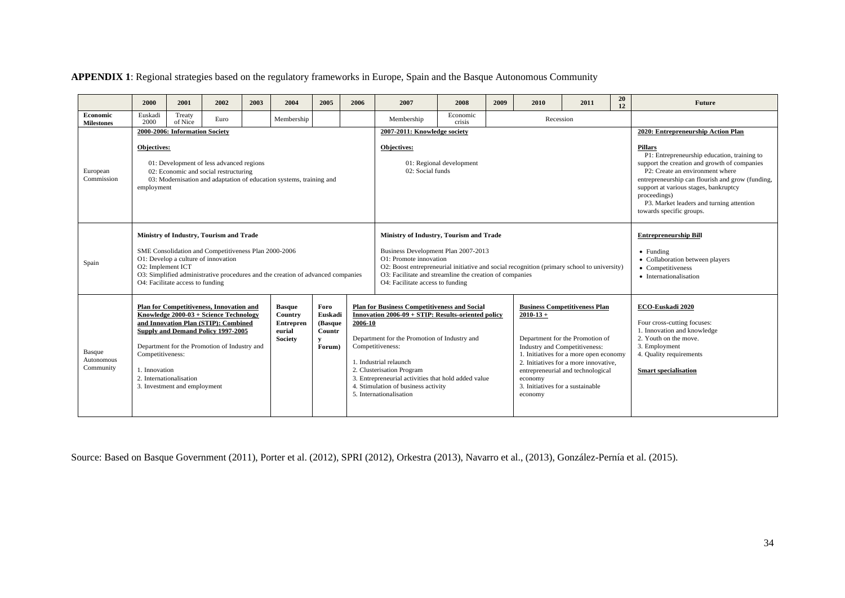## **APPENDIX 1**: Regional strategies based on the regulatory frameworks in Europe, Spain and the Basque Autonomous Community

|                                   | 2000                                                                                                                                                                                                                                                                                                                                                                                                                                                                               | 2001              | 2002 | 2003 | 2004                                                                                                                                                                                                                                                                                                                                                                                                                                                                                                                                                                                                                                                     | 2005 | 2006                                                                                                                                                                                                                                                                                                  | 2007       | 2008                                                                                                                                                                               | 2009 | 2010                                                                                                                                                                                                                                                                                                                                                                        | 2011 | 20<br>12 | <b>Future</b> |
|-----------------------------------|------------------------------------------------------------------------------------------------------------------------------------------------------------------------------------------------------------------------------------------------------------------------------------------------------------------------------------------------------------------------------------------------------------------------------------------------------------------------------------|-------------------|------|------|----------------------------------------------------------------------------------------------------------------------------------------------------------------------------------------------------------------------------------------------------------------------------------------------------------------------------------------------------------------------------------------------------------------------------------------------------------------------------------------------------------------------------------------------------------------------------------------------------------------------------------------------------------|------|-------------------------------------------------------------------------------------------------------------------------------------------------------------------------------------------------------------------------------------------------------------------------------------------------------|------------|------------------------------------------------------------------------------------------------------------------------------------------------------------------------------------|------|-----------------------------------------------------------------------------------------------------------------------------------------------------------------------------------------------------------------------------------------------------------------------------------------------------------------------------------------------------------------------------|------|----------|---------------|
| Economic<br><b>Milestones</b>     | Euskadi<br>2000                                                                                                                                                                                                                                                                                                                                                                                                                                                                    | Treaty<br>of Nice | Euro |      | Membership                                                                                                                                                                                                                                                                                                                                                                                                                                                                                                                                                                                                                                               |      |                                                                                                                                                                                                                                                                                                       | Membership | Economic<br>crisis                                                                                                                                                                 |      | Recession                                                                                                                                                                                                                                                                                                                                                                   |      |          |               |
| European<br>Commission            | 2000-2006: Information Society<br>Objectives:<br>01: Development of less advanced regions<br>02: Economic and social restructuring<br>03: Modernisation and adaptation of education systems, training and<br>employment                                                                                                                                                                                                                                                            |                   |      |      |                                                                                                                                                                                                                                                                                                                                                                                                                                                                                                                                                                                                                                                          |      | 2007-2011: Knowledge society<br>Objectives:<br>01: Regional development<br>02: Social funds                                                                                                                                                                                                           |            |                                                                                                                                                                                    |      | 2020: Entrepreneurship Action Plan<br><b>Pillars</b><br>P1: Entrepreneurship education, training to<br>support the creation and growth of companies<br>P2: Create an environment where<br>entrepreneurship can flourish and grow (funding,<br>support at various stages, bankruptcy<br>proceedings)<br>P3. Market leaders and turning attention<br>towards specific groups. |      |          |               |
| Spain                             | Ministry of Industry, Tourism and Trade<br>SME Consolidation and Competitiveness Plan 2000-2006<br>O1: Develop a culture of innovation<br>O2: Implement ICT<br>O3: Simplified administrative procedures and the creation of advanced companies<br>O4: Facilitate access to funding                                                                                                                                                                                                 |                   |      |      |                                                                                                                                                                                                                                                                                                                                                                                                                                                                                                                                                                                                                                                          |      | Ministry of Industry, Tourism and Trade<br>Business Development Plan 2007-2013<br>O1: Promote innovation<br>O2: Boost entrepreneurial initiative and social recognition (primary school to university)<br>O3: Facilitate and streamline the creation of companies<br>O4: Facilitate access to funding |            |                                                                                                                                                                                    |      | <b>Entrepreneurship Bill</b><br>$\bullet$ Funding<br>• Collaboration between players<br>• Competitiveness<br>• Internationalisation                                                                                                                                                                                                                                         |      |          |               |
| Basque<br>Autonomous<br>Community | Plan for Competitiveness, Innovation and<br>Foro<br><b>Basque</b><br>Knowledge 2000-03 + Science Technology<br>Euskadi<br>Country<br>2006-10<br>and Innovation Plan (STIP): Combined<br>(Basque<br><b>Entrepren</b><br>Supply and Demand Policy 1997-2005<br>Countr<br>eurial<br><b>Society</b><br>v<br>Department for the Promotion of Industry and<br>Forum)<br>Competitiveness:<br>Competitiveness:<br>1. Innovation<br>2. Internationalisation<br>3. Investment and employment |                   |      |      | <b>Plan for Business Competitiveness and Social</b><br><b>Business Competitiveness Plan</b><br>Innovation 2006-09 + STIP: Results-oriented policy<br>$2010 - 13 +$<br>Department for the Promotion of<br>Department for the Promotion of Industry and<br>Industry and Competitiveness:<br>1. Initiatives for a more open economy<br>2. Initiatives for a more innovative,<br>1. Industrial relaunch<br>2. Clusterisation Program<br>entrepreneurial and technological<br>3. Entrepreneurial activities that hold added value<br>economy<br>4. Stimulation of business activity<br>3. Initiatives for a sustainable<br>5. Internationalisation<br>economy |      |                                                                                                                                                                                                                                                                                                       |            | ECO-Euskadi 2020<br>Four cross-cutting focuses:<br>1. Innovation and knowledge<br>2. Youth on the move.<br>3. Employment<br>4. Quality requirements<br><b>Smart specialisation</b> |      |                                                                                                                                                                                                                                                                                                                                                                             |      |          |               |

Source: Based on Basque Government (2011), Porter et al. (2012), SPRI (2012), Orkestra (2013), Navarro et al., (2013), González-Pernía et al. (2015).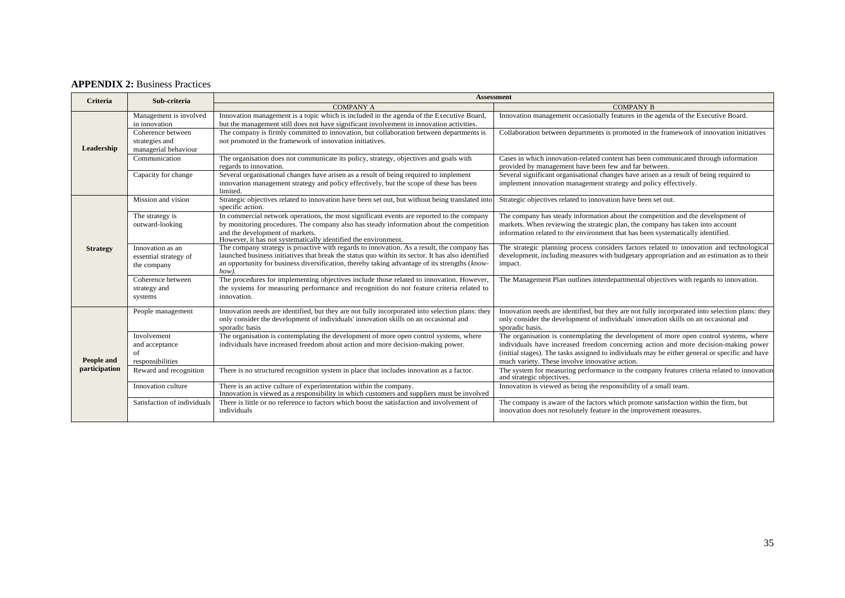## **APPENDIX 2:** Business Practices

| <b>Criteria</b>             | Sub-criteria                                                | <b>Assessment</b>                                                                                                                                                                                                                                                                                            |                                                                                                                                                                                                                                                                                                                                  |  |  |  |  |  |  |
|-----------------------------|-------------------------------------------------------------|--------------------------------------------------------------------------------------------------------------------------------------------------------------------------------------------------------------------------------------------------------------------------------------------------------------|----------------------------------------------------------------------------------------------------------------------------------------------------------------------------------------------------------------------------------------------------------------------------------------------------------------------------------|--|--|--|--|--|--|
|                             |                                                             | <b>COMPANY A</b>                                                                                                                                                                                                                                                                                             | <b>COMPANY B</b>                                                                                                                                                                                                                                                                                                                 |  |  |  |  |  |  |
| Leadership                  | Management is involved<br>in innovation                     | Innovation management is a topic which is included in the agenda of the Executive Board,<br>but the management still does not have significant involvement in innovation activities.                                                                                                                         | Innovation management occasionally features in the agenda of the Executive Board.                                                                                                                                                                                                                                                |  |  |  |  |  |  |
|                             | Coherence between<br>strategies and<br>managerial behaviour | The company is firmly committed to innovation, but collaboration between departments is<br>not promoted in the framework of innovation initiatives.                                                                                                                                                          | Collaboration between departments is promoted in the framework of innovation initiatives                                                                                                                                                                                                                                         |  |  |  |  |  |  |
|                             | Communication                                               | The organisation does not communicate its policy, strategy, objectives and goals with<br>regards to innovation.                                                                                                                                                                                              | Cases in which innovation-related content has been communicated through information<br>provided by management have been few and far between.                                                                                                                                                                                     |  |  |  |  |  |  |
|                             | Capacity for change                                         | Several organisational changes have arisen as a result of being required to implement<br>innovation management strategy and policy effectively, but the scope of these has been<br>limited.                                                                                                                  | Several significant organisational changes have arisen as a result of being required to<br>implement innovation management strategy and policy effectively.                                                                                                                                                                      |  |  |  |  |  |  |
| <b>Strategy</b>             | Mission and vision                                          | Strategic objectives related to innovation have been set out, but without being translated into<br>specific action.                                                                                                                                                                                          | Strategic objectives related to innovation have been set out.                                                                                                                                                                                                                                                                    |  |  |  |  |  |  |
|                             | The strategy is<br>outward-looking                          | In commercial network operations, the most significant events are reported to the company<br>by monitoring procedures. The company also has steady information about the competition<br>and the development of markets.<br>However, it has not systematically identified the environment.                    | The company has steady information about the competition and the development of<br>markets. When reviewing the strategic plan, the company has taken into account<br>information related to the environment that has been systematically identified.                                                                             |  |  |  |  |  |  |
|                             | Innovation as an<br>essential strategy of<br>the company    | The company strategy is proactive with regards to innovation. As a result, the company has<br>launched business initiatives that break the status quo within its sector. It has also identified<br>an opportunity for business diversification, thereby taking advantage of its strengths (know-<br>$how)$ . | The strategic planning process considers factors related to innovation and technological<br>development, including measures with budgetary appropriation and an estimation as to their<br>impact.                                                                                                                                |  |  |  |  |  |  |
|                             | Coherence between<br>strategy and<br>systems                | The procedures for implementing objectives include those related to innovation. However,<br>the systems for measuring performance and recognition do not feature criteria related to<br>innovation.                                                                                                          | The Management Plan outlines interdepartmental objectives with regards to innovation.                                                                                                                                                                                                                                            |  |  |  |  |  |  |
| People and<br>participation | People management                                           | Innovation needs are identified, but they are not fully incorporated into selection plans: they<br>only consider the development of individuals' innovation skills on an occasional and<br>sporadic basis                                                                                                    | Innovation needs are identified, but they are not fully incorporated into selection plans: they<br>only consider the development of individuals' innovation skills on an occasional and<br>sporadic basis.                                                                                                                       |  |  |  |  |  |  |
|                             | Involvement<br>and acceptance<br>of<br>responsibilities     | The organisation is contemplating the development of more open control systems, where<br>individuals have increased freedom about action and more decision-making power.                                                                                                                                     | The organisation is contemplating the development of more open control systems, where<br>individuals have increased freedom concerning action and more decision-making power<br>(initial stages). The tasks assigned to individuals may be either general or specific and have<br>much variety. These involve innovative action. |  |  |  |  |  |  |
|                             | Reward and recognition                                      | There is no structured recognition system in place that includes innovation as a factor.                                                                                                                                                                                                                     | The system for measuring performance in the company features criteria related to innovation<br>and strategic objectives.                                                                                                                                                                                                         |  |  |  |  |  |  |
|                             | Innovation culture                                          | There is an active culture of experimentation within the company.<br>Innovation is viewed as a responsibility in which customers and suppliers must be involved                                                                                                                                              | Innovation is viewed as being the responsibility of a small team.                                                                                                                                                                                                                                                                |  |  |  |  |  |  |
|                             | Satisfaction of individuals                                 | There is little or no reference to factors which boost the satisfaction and involvement of<br>individuals                                                                                                                                                                                                    | The company is aware of the factors which promote satisfaction within the firm, but<br>innovation does not resolutely feature in the improvement measures.                                                                                                                                                                       |  |  |  |  |  |  |